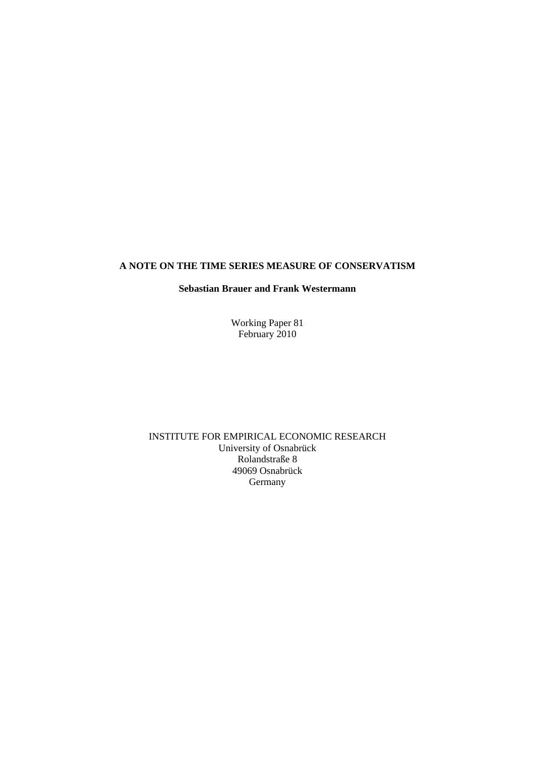#### **A NOTE ON THE TIME SERIES MEASURE OF CONSERVATISM**

#### **Sebastian Brauer and Frank Westermann**

Working Paper 81 February 2010

INSTITUTE FOR EMPIRICAL ECONOMIC RESEARCH University of Osnabrück Rolandstraße 8 49069 Osnabrück Germany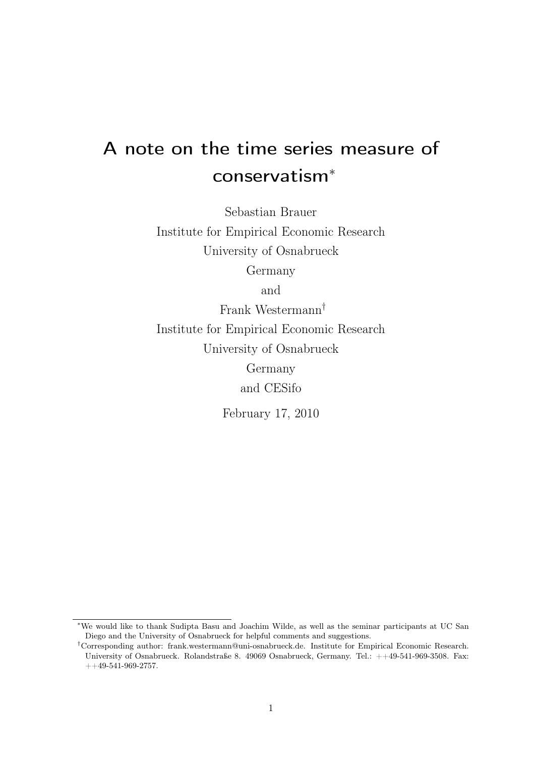# A note on the time series measure of conservatism<sup>∗</sup>

Sebastian Brauer Institute for Empirical Economic Research University of Osnabrueck Germany

and

Frank Westermann† Institute for Empirical Economic Research University of Osnabrueck Germany and CESifo

February 17, 2010

<sup>∗</sup>We would like to thank Sudipta Basu and Joachim Wilde, as well as the seminar participants at UC San Diego and the University of Osnabrueck for helpful comments and suggestions.

<sup>†</sup>Corresponding author: frank.westermann@uni-osnabrueck.de. Institute for Empirical Economic Research. University of Osnabrueck. Rolandstraße 8. 49069 Osnabrueck, Germany. Tel.: ++49-541-969-3508. Fax:  $++49-541-969-2757.$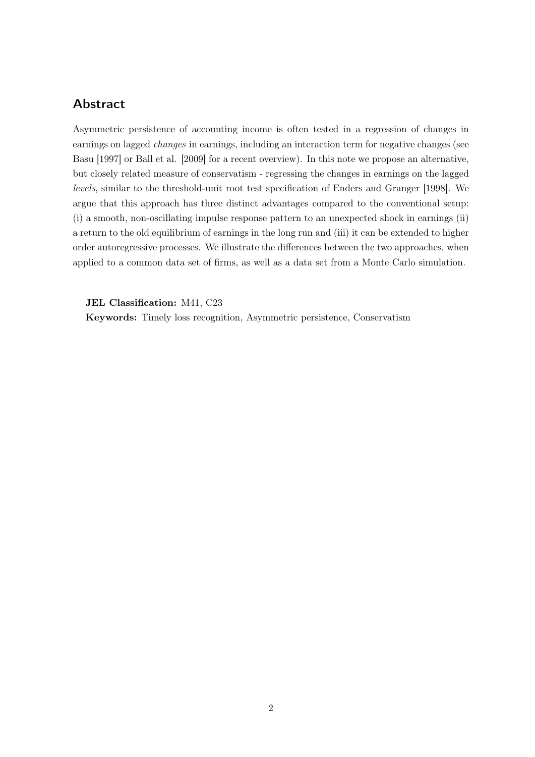## Abstract

Asymmetric persistence of accounting income is often tested in a regression of changes in earnings on lagged changes in earnings, including an interaction term for negative changes (see Basu [1997] or Ball et al. [2009] for a recent overview). In this note we propose an alternative, but closely related measure of conservatism - regressing the changes in earnings on the lagged levels, similar to the threshold-unit root test specification of Enders and Granger [1998]. We argue that this approach has three distinct advantages compared to the conventional setup: (i) a smooth, non-oscillating impulse response pattern to an unexpected shock in earnings (ii) a return to the old equilibrium of earnings in the long run and (iii) it can be extended to higher order autoregressive processes. We illustrate the differences between the two approaches, when applied to a common data set of firms, as well as a data set from a Monte Carlo simulation.

JEL Classification: M41, C23

Keywords: Timely loss recognition, Asymmetric persistence, Conservatism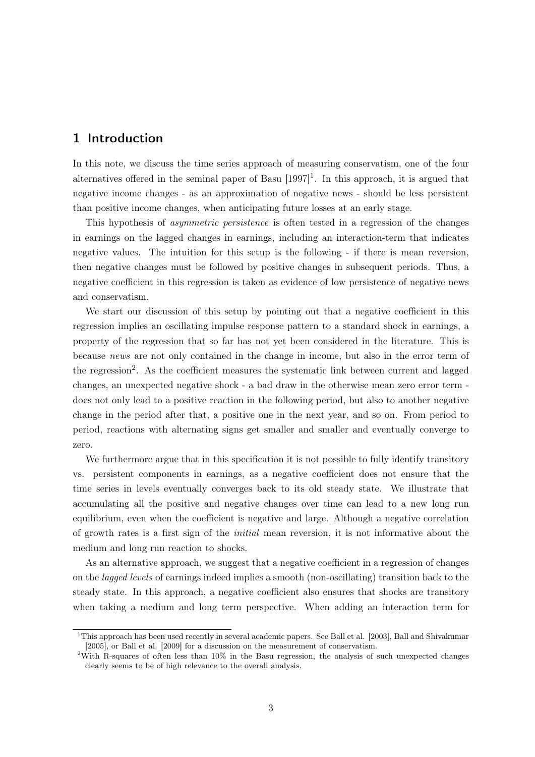### 1 Introduction

In this note, we discuss the time series approach of measuring conservatism, one of the four alternatives offered in the seminal paper of Basu  $[1997]$ <sup>1</sup>. In this approach, it is argued that negative income changes - as an approximation of negative news - should be less persistent than positive income changes, when anticipating future losses at an early stage.

This hypothesis of asymmetric persistence is often tested in a regression of the changes in earnings on the lagged changes in earnings, including an interaction-term that indicates negative values. The intuition for this setup is the following - if there is mean reversion, then negative changes must be followed by positive changes in subsequent periods. Thus, a negative coefficient in this regression is taken as evidence of low persistence of negative news and conservatism.

We start our discussion of this setup by pointing out that a negative coefficient in this regression implies an oscillating impulse response pattern to a standard shock in earnings, a property of the regression that so far has not yet been considered in the literature. This is because news are not only contained in the change in income, but also in the error term of the regression<sup>2</sup>. As the coefficient measures the systematic link between current and lagged changes, an unexpected negative shock - a bad draw in the otherwise mean zero error term does not only lead to a positive reaction in the following period, but also to another negative change in the period after that, a positive one in the next year, and so on. From period to period, reactions with alternating signs get smaller and smaller and eventually converge to zero.

We furthermore argue that in this specification it is not possible to fully identify transitory vs. persistent components in earnings, as a negative coefficient does not ensure that the time series in levels eventually converges back to its old steady state. We illustrate that accumulating all the positive and negative changes over time can lead to a new long run equilibrium, even when the coefficient is negative and large. Although a negative correlation of growth rates is a first sign of the initial mean reversion, it is not informative about the medium and long run reaction to shocks.

As an alternative approach, we suggest that a negative coefficient in a regression of changes on the lagged levels of earnings indeed implies a smooth (non-oscillating) transition back to the steady state. In this approach, a negative coefficient also ensures that shocks are transitory when taking a medium and long term perspective. When adding an interaction term for

 $1$ This approach has been used recently in several academic papers. See Ball et al. [2003], Ball and Shivakumar [2005], or Ball et al. [2009] for a discussion on the measurement of conservatism.

<sup>&</sup>lt;sup>2</sup>With R-squares of often less than 10% in the Basu regression, the analysis of such unexpected changes clearly seems to be of high relevance to the overall analysis.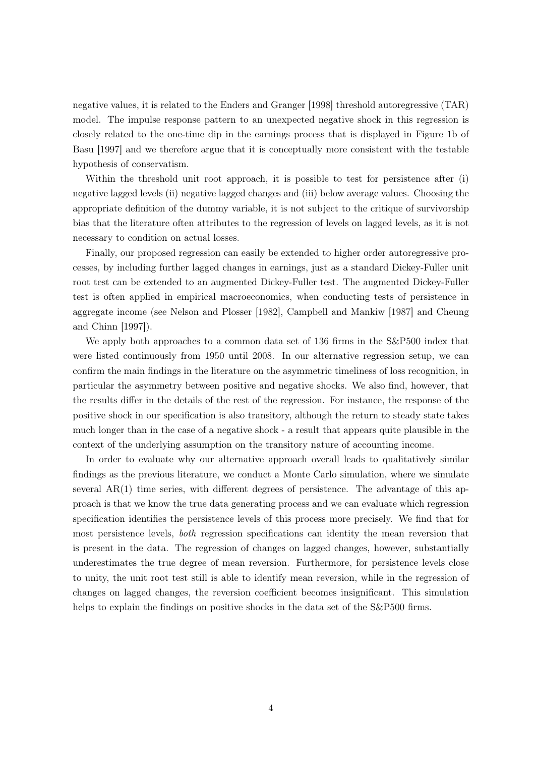negative values, it is related to the Enders and Granger [1998] threshold autoregressive (TAR) model. The impulse response pattern to an unexpected negative shock in this regression is closely related to the one-time dip in the earnings process that is displayed in Figure 1b of Basu [1997] and we therefore argue that it is conceptually more consistent with the testable hypothesis of conservatism.

Within the threshold unit root approach, it is possible to test for persistence after (i) negative lagged levels (ii) negative lagged changes and (iii) below average values. Choosing the appropriate definition of the dummy variable, it is not subject to the critique of survivorship bias that the literature often attributes to the regression of levels on lagged levels, as it is not necessary to condition on actual losses.

Finally, our proposed regression can easily be extended to higher order autoregressive processes, by including further lagged changes in earnings, just as a standard Dickey-Fuller unit root test can be extended to an augmented Dickey-Fuller test. The augmented Dickey-Fuller test is often applied in empirical macroeconomics, when conducting tests of persistence in aggregate income (see Nelson and Plosser [1982], Campbell and Mankiw [1987] and Cheung and Chinn [1997]).

We apply both approaches to a common data set of 136 firms in the S&P500 index that were listed continuously from 1950 until 2008. In our alternative regression setup, we can confirm the main findings in the literature on the asymmetric timeliness of loss recognition, in particular the asymmetry between positive and negative shocks. We also find, however, that the results differ in the details of the rest of the regression. For instance, the response of the positive shock in our specification is also transitory, although the return to steady state takes much longer than in the case of a negative shock - a result that appears quite plausible in the context of the underlying assumption on the transitory nature of accounting income.

In order to evaluate why our alternative approach overall leads to qualitatively similar findings as the previous literature, we conduct a Monte Carlo simulation, where we simulate several  $AR(1)$  time series, with different degrees of persistence. The advantage of this approach is that we know the true data generating process and we can evaluate which regression specification identifies the persistence levels of this process more precisely. We find that for most persistence levels, both regression specifications can identity the mean reversion that is present in the data. The regression of changes on lagged changes, however, substantially underestimates the true degree of mean reversion. Furthermore, for persistence levels close to unity, the unit root test still is able to identify mean reversion, while in the regression of changes on lagged changes, the reversion coefficient becomes insignificant. This simulation helps to explain the findings on positive shocks in the data set of the  $S\&P500$  firms.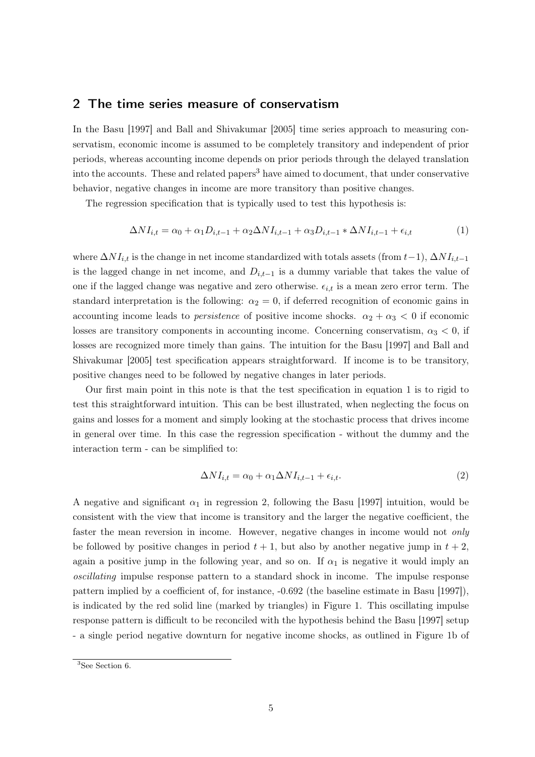#### 2 The time series measure of conservatism

In the Basu [1997] and Ball and Shivakumar [2005] time series approach to measuring conservatism, economic income is assumed to be completely transitory and independent of prior periods, whereas accounting income depends on prior periods through the delayed translation into the accounts. These and related papers<sup>3</sup> have aimed to document, that under conservative behavior, negative changes in income are more transitory than positive changes.

The regression specification that is typically used to test this hypothesis is:

$$
\Delta NI_{i,t} = \alpha_0 + \alpha_1 D_{i,t-1} + \alpha_2 \Delta NI_{i,t-1} + \alpha_3 D_{i,t-1} * \Delta NI_{i,t-1} + \epsilon_{i,t}
$$
\n<sup>(1)</sup>

where  $\Delta NI_{i,t}$  is the change in net income standardized with totals assets (from  $t-1$ ),  $\Delta NI_{i,t-1}$ is the lagged change in net income, and  $D_{i,t-1}$  is a dummy variable that takes the value of one if the lagged change was negative and zero otherwise.  $\epsilon_{i,t}$  is a mean zero error term. The standard interpretation is the following:  $\alpha_2 = 0$ , if deferred recognition of economic gains in accounting income leads to *persistence* of positive income shocks.  $\alpha_2 + \alpha_3 < 0$  if economic losses are transitory components in accounting income. Concerning conservatism,  $\alpha_3 < 0$ , if losses are recognized more timely than gains. The intuition for the Basu [1997] and Ball and Shivakumar [2005] test specification appears straightforward. If income is to be transitory, positive changes need to be followed by negative changes in later periods.

Our first main point in this note is that the test specification in equation 1 is to rigid to test this straightforward intuition. This can be best illustrated, when neglecting the focus on gains and losses for a moment and simply looking at the stochastic process that drives income in general over time. In this case the regression specification - without the dummy and the interaction term - can be simplified to:

$$
\Delta NI_{i,t} = \alpha_0 + \alpha_1 \Delta NI_{i,t-1} + \epsilon_{i,t}.\tag{2}
$$

A negative and significant  $\alpha_1$  in regression 2, following the Basu [1997] intuition, would be consistent with the view that income is transitory and the larger the negative coefficient, the faster the mean reversion in income. However, negative changes in income would not *only* be followed by positive changes in period  $t + 1$ , but also by another negative jump in  $t + 2$ , again a positive jump in the following year, and so on. If  $\alpha_1$  is negative it would imply an oscillating impulse response pattern to a standard shock in income. The impulse response pattern implied by a coefficient of, for instance, -0.692 (the baseline estimate in Basu [1997]), is indicated by the red solid line (marked by triangles) in Figure 1. This oscillating impulse response pattern is difficult to be reconciled with the hypothesis behind the Basu [1997] setup - a single period negative downturn for negative income shocks, as outlined in Figure 1b of

 $3$ See Section 6.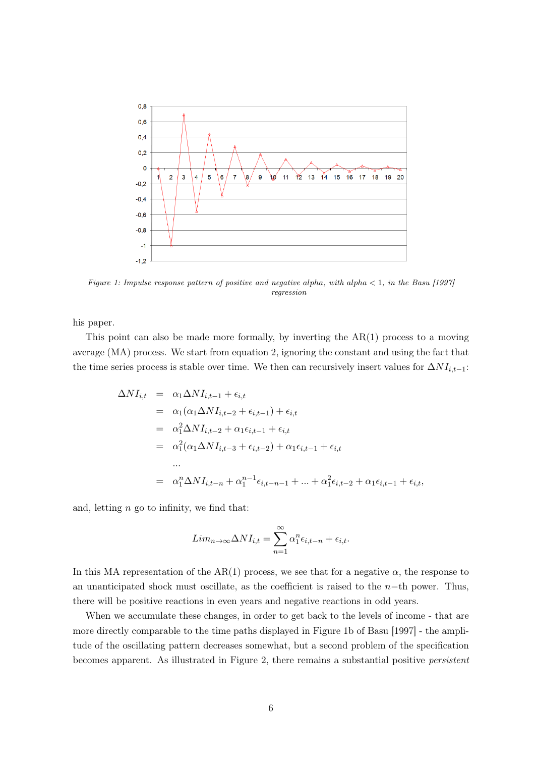

Figure 1: Impulse response pattern of positive and negative alpha, with alpha  $\lt 1$ , in the Basu [1997] regression

his paper.

This point can also be made more formally, by inverting the  $AR(1)$  process to a moving average (MA) process. We start from equation 2, ignoring the constant and using the fact that the time series process is stable over time. We then can recursively insert values for  $\Delta NI_{i,t-1}$ :

$$
\Delta NI_{i,t} = \alpha_1 \Delta NI_{i,t-1} + \epsilon_{i,t}
$$
  
\n
$$
= \alpha_1 (\alpha_1 \Delta NI_{i,t-2} + \epsilon_{i,t-1}) + \epsilon_{i,t}
$$
  
\n
$$
= \alpha_1^2 \Delta NI_{i,t-2} + \alpha_1 \epsilon_{i,t-1} + \epsilon_{i,t}
$$
  
\n
$$
= \alpha_1^2 (\alpha_1 \Delta NI_{i,t-3} + \epsilon_{i,t-2}) + \alpha_1 \epsilon_{i,t-1} + \epsilon_{i,t}
$$
  
\n...  
\n
$$
= \alpha_1^n \Delta NI_{i,t-n} + \alpha_1^{n-1} \epsilon_{i,t-n-1} + ... + \alpha_1^2 \epsilon_{i,t-2} + \alpha_1 \epsilon_{i,t-1} + \epsilon_{i,t},
$$

and, letting  $n$  go to infinity, we find that:

$$
Lim_{n\to\infty}\Delta NI_{i,t}=\sum_{n=1}^{\infty}\alpha_1^n\epsilon_{i,t-n}+\epsilon_{i,t}.
$$

In this MA representation of the AR(1) process, we see that for a negative  $\alpha$ , the response to an unanticipated shock must oscillate, as the coefficient is raised to the  $n-$ th power. Thus, there will be positive reactions in even years and negative reactions in odd years.

When we accumulate these changes, in order to get back to the levels of income - that are more directly comparable to the time paths displayed in Figure 1b of Basu [1997] - the amplitude of the oscillating pattern decreases somewhat, but a second problem of the specification becomes apparent. As illustrated in Figure 2, there remains a substantial positive persistent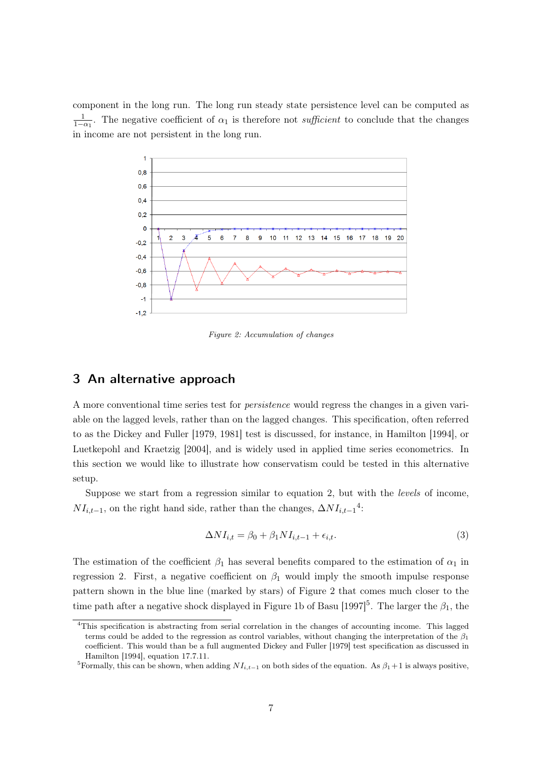component in the long run. The long run steady state persistence level can be computed as  $\frac{1}{1-\alpha_1}$ . The negative coefficient of  $\alpha_1$  is therefore not *sufficient* to conclude that the changes in income are not persistent in the long run.



Figure 2: Accumulation of changes

#### 3 An alternative approach

A more conventional time series test for persistence would regress the changes in a given variable on the lagged levels, rather than on the lagged changes. This specification, often referred to as the Dickey and Fuller [1979, 1981] test is discussed, for instance, in Hamilton [1994], or Luetkepohl and Kraetzig [2004], and is widely used in applied time series econometrics. In this section we would like to illustrate how conservatism could be tested in this alternative setup.

Suppose we start from a regression similar to equation 2, but with the levels of income,  $NI_{i,t-1}$ , on the right hand side, rather than the changes,  $\Delta NI_{i,t-1}$ <sup>4</sup>:

$$
\Delta NI_{i,t} = \beta_0 + \beta_1 NI_{i,t-1} + \epsilon_{i,t}.
$$
\n(3)

The estimation of the coefficient  $\beta_1$  has several benefits compared to the estimation of  $\alpha_1$  in regression 2. First, a negative coefficient on  $\beta_1$  would imply the smooth impulse response pattern shown in the blue line (marked by stars) of Figure 2 that comes much closer to the time path after a negative shock displayed in Figure 1b of Basu  $[1997]$ <sup>5</sup>. The larger the  $\beta_1$ , the

<sup>&</sup>lt;sup>4</sup>This specification is abstracting from serial correlation in the changes of accounting income. This lagged terms could be added to the regression as control variables, without changing the interpretation of the  $\beta_1$ coefficient. This would than be a full augmented Dickey and Fuller [1979] test specification as discussed in Hamilton [1994], equation 17.7.11.

<sup>&</sup>lt;sup>5</sup>Formally, this can be shown, when adding  $NI_{i,t-1}$  on both sides of the equation. As  $\beta_1 + 1$  is always positive,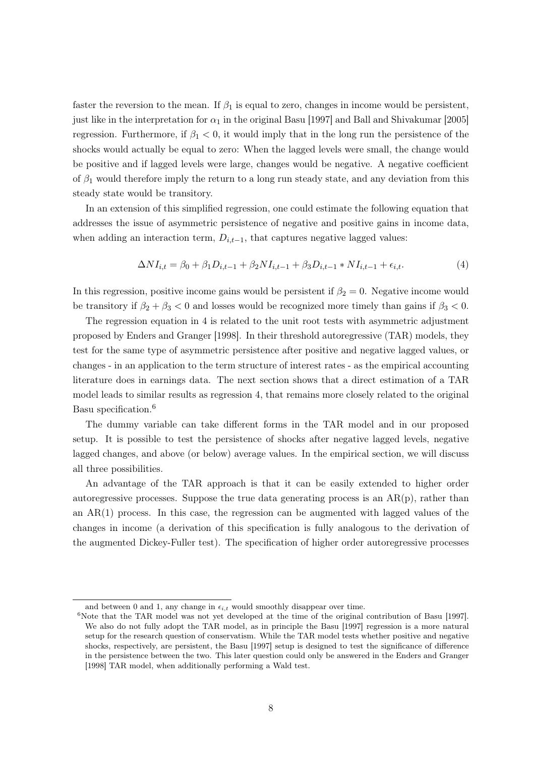faster the reversion to the mean. If  $\beta_1$  is equal to zero, changes in income would be persistent, just like in the interpretation for  $\alpha_1$  in the original Basu [1997] and Ball and Shivakumar [2005] regression. Furthermore, if  $\beta_1 < 0$ , it would imply that in the long run the persistence of the shocks would actually be equal to zero: When the lagged levels were small, the change would be positive and if lagged levels were large, changes would be negative. A negative coefficient of  $\beta_1$  would therefore imply the return to a long run steady state, and any deviation from this steady state would be transitory.

In an extension of this simplified regression, one could estimate the following equation that addresses the issue of asymmetric persistence of negative and positive gains in income data, when adding an interaction term,  $D_{i,t-1}$ , that captures negative lagged values:

$$
\Delta NI_{i,t} = \beta_0 + \beta_1 D_{i,t-1} + \beta_2 NI_{i,t-1} + \beta_3 D_{i,t-1} * NI_{i,t-1} + \epsilon_{i,t}.
$$
\n(4)

In this regression, positive income gains would be persistent if  $\beta_2 = 0$ . Negative income would be transitory if  $\beta_2 + \beta_3 < 0$  and losses would be recognized more timely than gains if  $\beta_3 < 0$ .

The regression equation in 4 is related to the unit root tests with asymmetric adjustment proposed by Enders and Granger [1998]. In their threshold autoregressive (TAR) models, they test for the same type of asymmetric persistence after positive and negative lagged values, or changes - in an application to the term structure of interest rates - as the empirical accounting literature does in earnings data. The next section shows that a direct estimation of a TAR model leads to similar results as regression 4, that remains more closely related to the original Basu specification.<sup>6</sup>

The dummy variable can take different forms in the TAR model and in our proposed setup. It is possible to test the persistence of shocks after negative lagged levels, negative lagged changes, and above (or below) average values. In the empirical section, we will discuss all three possibilities.

An advantage of the TAR approach is that it can be easily extended to higher order autoregressive processes. Suppose the true data generating process is an  $AR(p)$ , rather than an  $AR(1)$  process. In this case, the regression can be augmented with lagged values of the changes in income (a derivation of this specification is fully analogous to the derivation of the augmented Dickey-Fuller test). The specification of higher order autoregressive processes

and between 0 and 1, any change in  $\epsilon_{i,t}$  would smoothly disappear over time.

 $6N$ ote that the TAR model was not yet developed at the time of the original contribution of Basu [1997]. We also do not fully adopt the TAR model, as in principle the Basu [1997] regression is a more natural setup for the research question of conservatism. While the TAR model tests whether positive and negative shocks, respectively, are persistent, the Basu [1997] setup is designed to test the significance of difference in the persistence between the two. This later question could only be answered in the Enders and Granger [1998] TAR model, when additionally performing a Wald test.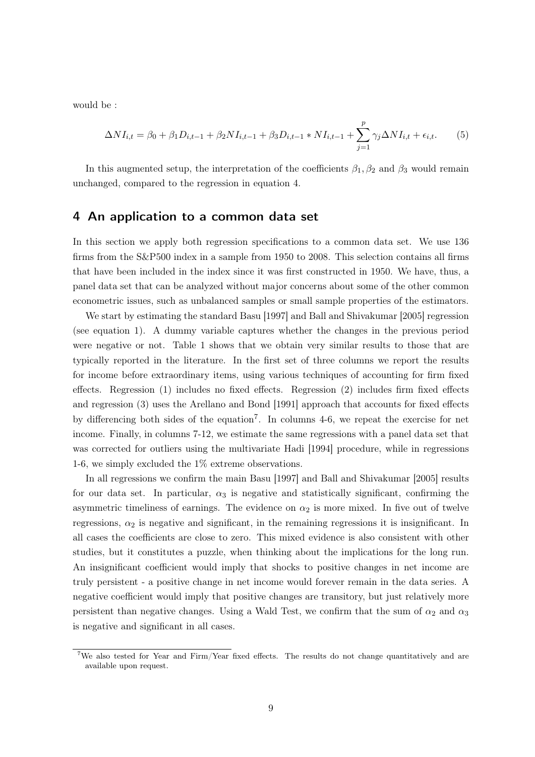would be :

$$
\Delta NI_{i,t} = \beta_0 + \beta_1 D_{i,t-1} + \beta_2 NI_{i,t-1} + \beta_3 D_{i,t-1} * NI_{i,t-1} + \sum_{j=1}^p \gamma_j \Delta NI_{i,t} + \epsilon_{i,t}.
$$
 (5)

In this augmented setup, the interpretation of the coefficients  $\beta_1, \beta_2$  and  $\beta_3$  would remain unchanged, compared to the regression in equation 4.

#### 4 An application to a common data set

In this section we apply both regression specifications to a common data set. We use 136 firms from the S&P500 index in a sample from 1950 to 2008. This selection contains all firms that have been included in the index since it was first constructed in 1950. We have, thus, a panel data set that can be analyzed without major concerns about some of the other common econometric issues, such as unbalanced samples or small sample properties of the estimators.

We start by estimating the standard Basu [1997] and Ball and Shivakumar [2005] regression (see equation 1). A dummy variable captures whether the changes in the previous period were negative or not. Table 1 shows that we obtain very similar results to those that are typically reported in the literature. In the first set of three columns we report the results for income before extraordinary items, using various techniques of accounting for firm fixed effects. Regression (1) includes no fixed effects. Regression (2) includes firm fixed effects and regression (3) uses the Arellano and Bond [1991] approach that accounts for fixed effects by differencing both sides of the equation<sup>7</sup>. In columns 4-6, we repeat the exercise for net income. Finally, in columns 7-12, we estimate the same regressions with a panel data set that was corrected for outliers using the multivariate Hadi [1994] procedure, while in regressions 1-6, we simply excluded the 1% extreme observations.

In all regressions we confirm the main Basu [1997] and Ball and Shivakumar [2005] results for our data set. In particular,  $\alpha_3$  is negative and statistically significant, confirming the asymmetric timeliness of earnings. The evidence on  $\alpha_2$  is more mixed. In five out of twelve regressions,  $\alpha_2$  is negative and significant, in the remaining regressions it is insignificant. In all cases the coefficients are close to zero. This mixed evidence is also consistent with other studies, but it constitutes a puzzle, when thinking about the implications for the long run. An insignificant coefficient would imply that shocks to positive changes in net income are truly persistent - a positive change in net income would forever remain in the data series. A negative coefficient would imply that positive changes are transitory, but just relatively more persistent than negative changes. Using a Wald Test, we confirm that the sum of  $\alpha_2$  and  $\alpha_3$ is negative and significant in all cases.

<sup>7</sup>We also tested for Year and Firm/Year fixed effects. The results do not change quantitatively and are available upon request.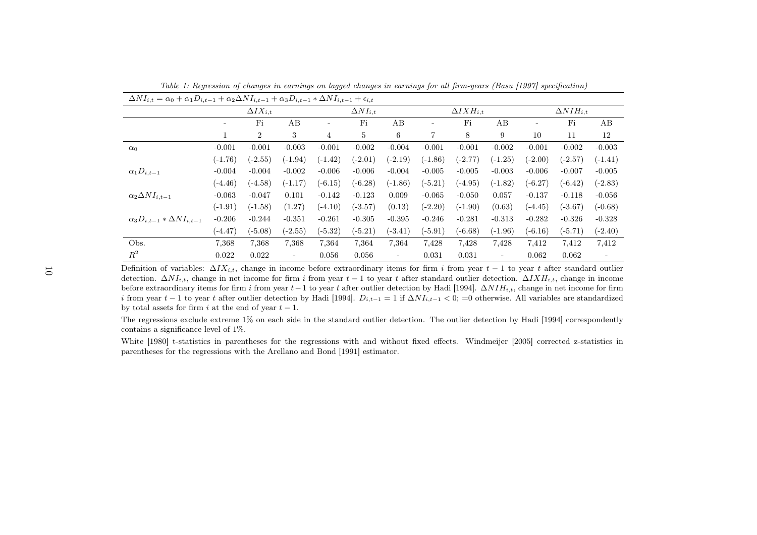| $\Delta NI_{i,t} = \alpha_0 + \alpha_1 D_{i,t-1} + \alpha_2 \Delta NI_{i,t-1} + \alpha_3 D_{i,t-1} * \Delta NI_{i,t-1} + \epsilon_{i,t}$ |                          |                    |                          |                   |           |                          |                      |           |                          |                      |           |           |
|------------------------------------------------------------------------------------------------------------------------------------------|--------------------------|--------------------|--------------------------|-------------------|-----------|--------------------------|----------------------|-----------|--------------------------|----------------------|-----------|-----------|
|                                                                                                                                          |                          | $\Delta IX_{i.t.}$ |                          | $\Delta NI_{i,t}$ |           |                          | $\Delta I X H_{i.t}$ |           |                          | $\Delta N I H_{i,t}$ |           |           |
|                                                                                                                                          | $\overline{\phantom{0}}$ | Fi                 | AB                       | $\qquad \qquad -$ | Fi        | AB                       | ۰.                   | Fi        | AB                       |                      | Fi        | AВ        |
|                                                                                                                                          |                          | $\overline{2}$     | 3                        | $\overline{4}$    | 5         | 6                        | $\overline{7}$       | 8         | 9                        | 10                   | 11        | 12        |
| $\alpha_0$                                                                                                                               | $-0.001$                 | $-0.001$           | $-0.003$                 | $-0.001$          | $-0.002$  | $-0.004$                 | $-0.001$             | $-0.001$  | $-0.002$                 | $-0.001$             | $-0.002$  | $-0.003$  |
|                                                                                                                                          | $(-1.76)$                | $(-2.55)$          | $(-1.94)$                | $(-1.42)$         | $(-2.01)$ | $(-2.19)$                | $(-1.86)$            | $(-2.77)$ | $(-1.25)$                | $(-2.00)$            | $(-2.57)$ | $(-1.41)$ |
| $\alpha_1 D_{i,t-1}$                                                                                                                     | $-0.004$                 | $-0.004$           | $-0.002$                 | $-0.006$          | $-0.006$  | $-0.004$                 | $-0.005$             | $-0.005$  | $-0.003$                 | $-0.006$             | $-0.007$  | $-0.005$  |
|                                                                                                                                          | $(-4.46)$                | $(-4.58)$          | $(-1.17)$                | $(-6.15)$         | $(-6.28)$ | $(-1.86)$                | $(-5.21)$            | $(-4.95)$ | $(-1.82)$                | $(-6.27)$            | $(-6.42)$ | $(-2.83)$ |
| $\alpha_2 \Delta NI_{i,t-1}$                                                                                                             | $-0.063$                 | $-0.047$           | 0.101                    | $-0.142$          | $-0.123$  | 0.009                    | $-0.065$             | $-0.050$  | 0.057                    | $-0.137$             | $-0.118$  | $-0.056$  |
|                                                                                                                                          | $(-1.91)$                | $(-1.58)$          | (1.27)                   | $(-4.10)$         | $(-3.57)$ | (0.13)                   | $(-2.20)$            | $(-1.90)$ | (0.63)                   | $(-4.45)$            | $(-3.67)$ | $(-0.68)$ |
| $\alpha_3D_{i,t-1}*\Delta NI_{i,t-1}$                                                                                                    | $-0.206$                 | $-0.244$           | $-0.351$                 | $-0.261$          | $-0.305$  | $-0.395$                 | $-0.246$             | $-0.281$  | $-0.313$                 | $-0.282$             | $-0.326$  | $-0.328$  |
|                                                                                                                                          | $(-4.47)$                | $(-5.08)$          | $(-2.55)$                | $(-5.32)$         | $(-5.21)$ | $(-3.41)$                | $(-5.91)$            | $(-6.68)$ | $(-1.96)$                | $(-6.16)$            | $(-5.71)$ | $(-2.40)$ |
| Obs.                                                                                                                                     | 7,368                    | 7,368              | 7,368                    | 7,364             | 7,364     | 7,364                    | 7,428                | 7,428     | 7,428                    | 7,412                | 7,412     | 7,412     |
| $R^2$                                                                                                                                    | 0.022                    | 0.022              | $\overline{\phantom{a}}$ | 0.056             | 0.056     | $\overline{\phantom{a}}$ | 0.031                | 0.031     | $\overline{\phantom{a}}$ | 0.062                | 0.062     | ۰         |

Table 1: Regression of changes in earnings on lagged changes in earnings for all firm-years (Basu [1997] specification) $\overline{\lambda N I}$  +

Definition of variables:  $\Delta I X_{i,t}$ , change in income before extraordinary items for firm i from year  $t - 1$  to year t after standard outlier detection.  $\Delta N I_{i,t}$ , change in net income for firm i from year  $t-1$  to year t after standard outlier detection.  $\Delta I X H_{i,t}$ , change in income before extraordinary items for firm i from year  $t-1$  to year t after outlier detection by Hadi [1994].  $\Delta N I H_{i,t}$ , change in net income for firm i from year  $t-1$  to year t after outlier detection by Hadi [1994].  $D_{i,t-1} = 1$  if  $\Delta NI_{i,t-1} < 0$ ; =0 otherwise. All variables are standardized by total assets for firm i at the end of year  $t - 1$ .

The regressions exclude extreme 1% on each side in the standard outlier detection. The outlier detection by Hadi [1994] correspondently contains <sup>a</sup> significance level of 1%.

White [1980] t-statistics in parentheses for the regressions with and without fixed effects. Windmeijer [2005] corrected z-statistics in parentheses for the regressions with the Arellano and Bond [1991] estimator.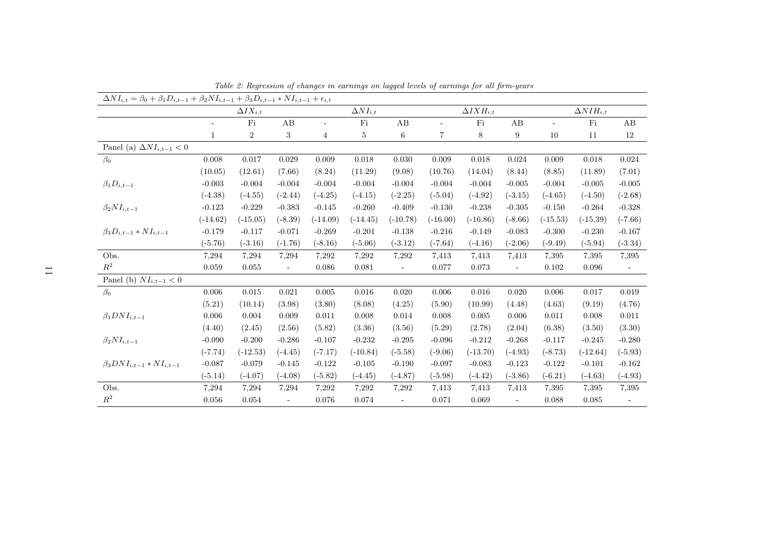| $\Delta NI_{i,t} = \beta_0 + \beta_1 D_{i,t-1} + \beta_2 NI_{i,t-1} + \beta_3 D_{i,t-1} * NI_{i,t-1} + \epsilon_{i,t}$ |              |                   |                          |                          |                   |                          |            |                      |                |                          |                      |                          |
|------------------------------------------------------------------------------------------------------------------------|--------------|-------------------|--------------------------|--------------------------|-------------------|--------------------------|------------|----------------------|----------------|--------------------------|----------------------|--------------------------|
|                                                                                                                        |              | $\Delta IX_{i,t}$ |                          |                          | $\Delta NI_{i,t}$ |                          |            | $\Delta I X H_{i.t}$ |                |                          | $\Delta N I H_{i.t}$ |                          |
|                                                                                                                        |              | $\rm{Fi}$         | $\mathbf A\mathbf B$     | $\overline{\phantom{0}}$ | $\rm{Fi}$         | AB                       |            | $\rm{Fi}$            | AB             | $\overline{\phantom{a}}$ | $\rm{Fi}$            | AB                       |
|                                                                                                                        | $\mathbf{1}$ | $\overline{2}$    | 3                        | 4                        | $\overline{5}$    | $\,6$                    | 7          | $8\,$                | 9              | 10                       | 11                   | $12\,$                   |
| Panel (a) $\Delta NI_{i,t-1} < 0$                                                                                      |              |                   |                          |                          |                   |                          |            |                      |                |                          |                      |                          |
| $\beta_0$                                                                                                              | 0.008        | 0.017             | 0.029                    | 0.009                    | $0.018\,$         | 0.030                    | 0.009      | $0.018\,$            | 0.024          | 0.009                    | 0.018                | 0.024                    |
|                                                                                                                        | (10.05)      | (12.61)           | (7.66)                   | (8.24)                   | (11.29)           | (9.08)                   | (10.76)    | (14.04)              | (8.44)         | (8.85)                   | (11.89)              | (7.01)                   |
| $\beta_1 D_{i,t-1}$                                                                                                    | $-0.003$     | $-0.004$          | $-0.004$                 | $-0.004$                 | $-0.004$          | $-0.004$                 | $-0.004$   | $-0.004$             | $-0.005$       | $-0.004$                 | $-0.005$             | $-0.005$                 |
|                                                                                                                        | $(-4.38)$    | $(-4.55)$         | $(-2.44)$                | $(-4.25)$                | $(-4.15)$         | $(-2.25)$                | $(-5.04)$  | $(-4.92)$            | $(-3.15)$      | $(-4.65)$                | $(-4.50)$            | $(-2.68)$                |
| $\beta_2 NI_{i,t-1}$                                                                                                   | $-0.123$     | $-0.229$          | $-0.383$                 | $-0.145$                 | $-0.260$          | $-0.409$                 | $-0.130$   | $-0.238$             | $-0.305$       | $-0.150$                 | $-0.264$             | $-0.328$                 |
|                                                                                                                        | $(-14.62)$   | $(-15.05)$        | $(-8.39)$                | $(-14.09)$               | $(-14.45)$        | $(-10.78)$               | $(-16.00)$ | $(-16.86)$           | $(-8.66)$      | $(-15.53)$               | $(-15.39)$           | $(-7.66)$                |
| $\beta_3 D_{i,t-1} * NI_{i,t-1}$                                                                                       | $-0.179$     | $-0.117$          | $-0.071$                 | $-0.269$                 | $-0.201$          | $-0.138$                 | $-0.216$   | $-0.149$             | $-0.083$       | $-0.300$                 | $-0.230$             | $-0.167$                 |
|                                                                                                                        | $(-5.76)$    | $(-3.16)$         | $(-1.76)$                | $(-8.16)$                | $(-5.06)$         | $(-3.12)$                | $(-7.64)$  | $(-4.16)$            | $(-2.06)$      | $(-9.49)$                | $(-5.94)$            | $(-3.34)$                |
| Obs.                                                                                                                   | 7,294        | 7,294             | 7,294                    | 7,292                    | 7,292             | 7,292                    | 7,413      | 7,413                | 7,413          | 7,395                    | 7,395                | 7,395                    |
| $\mathbb{R}^2$                                                                                                         | 0.059        | 0.055             | $\overline{\phantom{a}}$ | 0.086                    | 0.081             | $\overline{\phantom{a}}$ | 0.077      | 0.073                | $\blacksquare$ | 0.102                    | 0.096                | $\overline{\phantom{a}}$ |
| Panel (b) $NI_{i,t-1} < 0$                                                                                             |              |                   |                          |                          |                   |                          |            |                      |                |                          |                      |                          |
| $\beta_0$                                                                                                              | 0.006        | $\,0.015\,$       | 0.021                    | 0.005                    | 0.016             | 0.020                    | 0.006      | 0.016                | 0.020          | 0.006                    | 0.017                | 0.019                    |
|                                                                                                                        | (5.21)       | (10.14)           | (3.98)                   | (3.80)                   | (8.08)            | (4.25)                   | (5.90)     | (10.99)              | (4.48)         | (4.63)                   | (9.19)               | (4.76)                   |
| $\beta_1 DNI_{i,t-1}$                                                                                                  | 0.006        | 0.004             | 0.009                    | 0.011                    | 0.008             | 0.014                    | 0.008      | 0.005                | 0.006          | 0.011                    | 0.008                | 0.011                    |
|                                                                                                                        | (4.40)       | (2.45)            | (2.56)                   | (5.82)                   | (3.36)            | (3.56)                   | (5.29)     | (2.78)               | (2.04)         | (6.38)                   | (3.50)               | (3.30)                   |
| $\beta_2 NI_{i,t-1}$                                                                                                   | $-0.090$     | $-0.200$          | $-0.286$                 | $-0.107$                 | $-0.232$          | $-0.295$                 | $-0.096$   | $-0.212$             | $-0.268$       | $-0.117$                 | $-0.245$             | $-0.280$                 |
|                                                                                                                        | $(-7.74)$    | $(-12.53)$        | $(-4.45)$                | $(-7.17)$                | $(-10.84)$        | $(-5.58)$                | $(-9.06)$  | $(-13.70)$           | $(-4.93)$      | $(-8.73)$                | $(-12.64)$           | $(-5.93)$                |
| $\beta_3 DNI_{i,t-1} * NI_{i,t-1}$                                                                                     | $-0.087$     | $-0.079$          | $-0.145$                 | $-0.122$                 | $-0.105$          | $-0.190$                 | $-0.097$   | $-0.083$             | $-0.123$       | $-0.122$                 | $-0.101$             | $-0.162$                 |
|                                                                                                                        | $(-5.14)$    | $(-4.07)$         | $(-4.08)$                | $(-5.82)$                | $(-4.45)$         | $(-4.87)$                | $(-5.98)$  | $(-4.42)$            | $(-3.86)$      | $(-6.21)$                | $(-4.63)$            | $(-4.93)$                |
| Obs.                                                                                                                   | 7,294        | 7,294             | 7,294                    | 7,292                    | 7,292             | 7,292                    | 7,413      | 7,413                | 7,413          | 7,395                    | 7,395                | 7,395                    |
| $\mathbb{R}^2$                                                                                                         | 0.056        | 0.054             | $\overline{\phantom{a}}$ | 0.076                    | 0.074             | ÷,                       | 0.071      | 0.069                |                | 0.088                    | 0.085                |                          |

Table 2: Regression of changes in earnings on lagged levels of earnings for all firm-years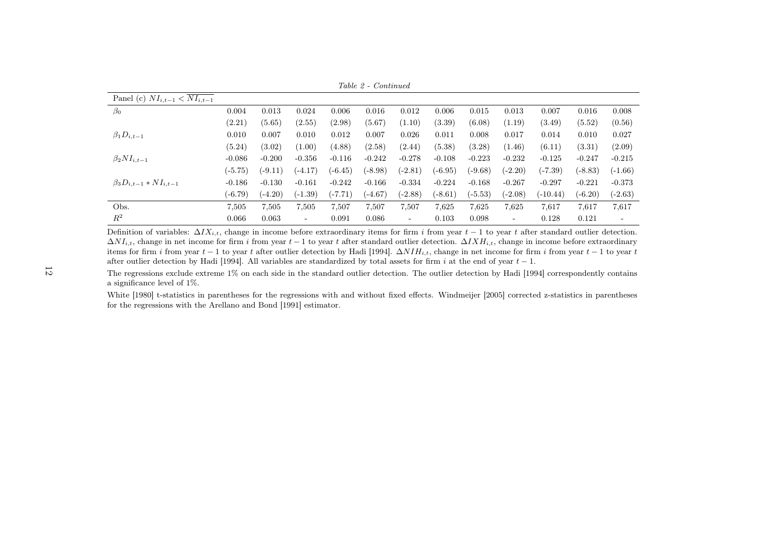Table 2 - Continued

| Panel (c) $NI_{i,t-1} < NI_{i,t-1}$ |           |           |                          |           |           |                          |           |           |           |            |           |                          |
|-------------------------------------|-----------|-----------|--------------------------|-----------|-----------|--------------------------|-----------|-----------|-----------|------------|-----------|--------------------------|
| $\beta_0$                           | 0.004     | 0.013     | 0.024                    | 0.006     | 0.016     | 0.012                    | 0.006     | 0.015     | 0.013     | 0.007      | 0.016     | 0.008                    |
|                                     | (2.21)    | (5.65)    | (2.55)                   | (2.98)    | (5.67)    | (1.10)                   | (3.39)    | (6.08)    | (1.19)    | (3.49)     | (5.52)    | (0.56)                   |
| $\beta_1 D_{i,t-1}$                 | 0.010     | 0.007     | 0.010                    | 0.012     | 0.007     | 0.026                    | 0.011     | 0.008     | 0.017     | 0.014      | 0.010     | 0.027                    |
|                                     | (5.24)    | (3.02)    | (1.00)                   | (4.88)    | (2.58)    | (2.44)                   | (5.38)    | (3.28)    | (1.46)    | (6.11)     | (3.31)    | (2.09)                   |
| $\beta_2 NI_{i,t-1}$                | $-0.086$  | $-0.200$  | $-0.356$                 | $-0.116$  | $-0.242$  | $-0.278$                 | $-0.108$  | $-0.223$  | $-0.232$  | $-0.125$   | $-0.247$  | $-0.215$                 |
|                                     | $(-5.75)$ | $(-9.11)$ | $(-4.17)$                | $(-6.45)$ | $(-8.98)$ | $(-2.81)$                | $(-6.95)$ | $(-9.68)$ | $(-2.20)$ | $(-7.39)$  | $(-8.83)$ | $(-1.66)$                |
| $\beta_3 D_{i,t-1} * NI_{i,t-1}$    | $-0.186$  | $-0.130$  | $-0.161$                 | $-0.242$  | $-0.166$  | $-0.334$                 | $-0.224$  | $-0.168$  | $-0.267$  | $-0.297$   | $-0.221$  | $-0.373$                 |
|                                     | $(-6.79)$ | $(-4.20)$ | $(-1.39)$                | $(-7.71)$ | $(-4.67)$ | (-2.88)                  | $(-8.61)$ | $(-5.53)$ | $(-2.08)$ | $(-10.44)$ | $(-6.20)$ | $(-2.63)$                |
| Obs.                                | 7,505     | 7,505     | 7,505                    | 7,507     | 7,507     | 7,507                    | 7,625     | 7,625     | 7,625     | 7,617      | 7,617     | 7,617                    |
| $R^2$                               | 0.066     | 0.063     | $\overline{\phantom{0}}$ | 0.091     | 0.086     | $\overline{\phantom{a}}$ | 0.103     | 0.098     | -         | 0.128      | 0.121     | $\overline{\phantom{0}}$ |

Definition of variables:  $\Delta I X_{i,t}$ , change in income before extraordinary items for firm i from year  $t-1$  to year t after standard outlier detection.  $\Delta NI_{i,t}$ , change in net income for firm i from year  $t-1$  to year t after standard outlier detection.  $\Delta I X H_{i,t}$ , change in income before extraordinary items for firm i from year  $t - 1$  to year t after outlier detection by Hadi [1994].  $\Delta N H_{i,t}$ , change in net income for firm i from year  $t - 1$  to year t after outlier detection by Hadi [1994]. All variables are standardized by total assets for firm i at the end of year  $t - 1$ .

The regressions exclude extreme 1% on each side in the standard outlier detection. The outlier detection by Hadi [1994] correspondently contains<sup>a</sup> significance level of 1%.

White [1980] t-statistics in parentheses for the regressions with and without fixed effects. Windmeijer [2005] corrected z-statistics in parentheses for the regressions with the Arellano and Bond [1991] estimator.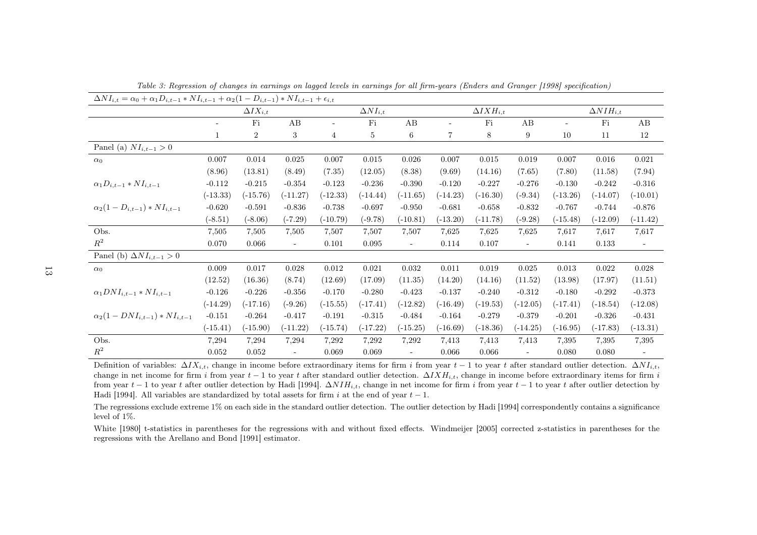| $\Delta NI_{i,t} = \alpha_0 + \alpha_1 D_{i,t-1} * NI_{i,t-1} + \alpha_2 (1 - D_{i,t-1}) * NI_{i,t-1} + \epsilon_{i,t}$ |            |                   |            |               |                   |                          |                |                      |                          |                          |                      |                          |
|-------------------------------------------------------------------------------------------------------------------------|------------|-------------------|------------|---------------|-------------------|--------------------------|----------------|----------------------|--------------------------|--------------------------|----------------------|--------------------------|
|                                                                                                                         |            | $\Delta IX_{i,t}$ |            |               | $\Delta NI_{i,t}$ |                          |                | $\Delta I X H_{i,t}$ |                          |                          | $\Delta N I H_{i,t}$ |                          |
|                                                                                                                         |            | Fi                | AB         | $\frac{1}{2}$ | Fi                | $\rm AB$                 |                | Fi                   | AB                       | $\overline{\phantom{a}}$ | Fi                   | AB                       |
|                                                                                                                         |            | $\overline{2}$    | 3          | 4             | 5                 | $\,6\,$                  | $\overline{7}$ | 8                    | 9                        | 10                       | 11                   | $12\,$                   |
| Panel (a) $NI_{i,t-1} > 0$                                                                                              |            |                   |            |               |                   |                          |                |                      |                          |                          |                      |                          |
| $\alpha_0$                                                                                                              | 0.007      | 0.014             | 0.025      | 0.007         | 0.015             | 0.026                    | 0.007          | 0.015                | 0.019                    | 0.007                    | 0.016                | 0.021                    |
|                                                                                                                         | (8.96)     | (13.81)           | (8.49)     | (7.35)        | (12.05)           | (8.38)                   | (9.69)         | (14.16)              | (7.65)                   | (7.80)                   | (11.58)              | (7.94)                   |
| $\alpha_1 D_{i,t-1} * NI_{i,t-1}$                                                                                       | $-0.112$   | $-0.215$          | $-0.354$   | $-0.123$      | $-0.236$          | $-0.390$                 | $-0.120$       | $-0.227$             | $-0.276$                 | $-0.130$                 | $-0.242$             | $-0.316$                 |
|                                                                                                                         | $(-13.33)$ | $(-15.76)$        | $(-11.27)$ | $(-12.33)$    | $(-14.44)$        | $(-11.65)$               | $(-14.23)$     | $(-16.30)$           | $(-9.34)$                | $(-13.26)$               | $(-14.07)$           | $(-10.01)$               |
| $\alpha_2(1-D_{i,t-1}) * NI_{i,t-1}$                                                                                    | $-0.620$   | $-0.591$          | $-0.836$   | $-0.738$      | $-0.697$          | $-0.950$                 | $-0.681$       | $-0.658$             | $-0.832$                 | $-0.767$                 | $-0.744$             | $-0.876$                 |
|                                                                                                                         | $(-8.51)$  | $(-8.06)$         | $(-7.29)$  | $(-10.79)$    | $(-9.78)$         | $(-10.81)$               | $(-13.20)$     | $(-11.78)$           | $(-9.28)$                | $(-15.48)$               | $(-12.09)$           | $(-11.42)$               |
| Obs.                                                                                                                    | 7,505      | 7,505             | 7,505      | 7,507         | 7,507             | 7,507                    | 7,625          | 7,625                | 7,625                    | 7,617                    | 7,617                | 7,617                    |
| $R^2$                                                                                                                   | 0.070      | 0.066             | $\sim$     | 0.101         | 0.095             | $\overline{\phantom{a}}$ | 0.114          | 0.107                | $\overline{\phantom{a}}$ | 0.141                    | 0.133                | $\overline{\phantom{a}}$ |
| Panel (b) $\Delta NI_{i,t-1} > 0$                                                                                       |            |                   |            |               |                   |                          |                |                      |                          |                          |                      |                          |
| $\alpha_0$                                                                                                              | 0.009      | 0.017             | 0.028      | 0.012         | 0.021             | 0.032                    | 0.011          | 0.019                | 0.025                    | 0.013                    | 0.022                | 0.028                    |
|                                                                                                                         | (12.52)    | (16.36)           | (8.74)     | (12.69)       | (17.09)           | (11.35)                  | (14.20)        | (14.16)              | (11.52)                  | (13.98)                  | (17.97)              | (11.51)                  |
| $\alpha_1 DNI_{i,t-1} * NI_{i,t-1}$                                                                                     | $-0.126$   | $-0.226$          | $-0.356$   | $-0.170$      | $-0.280$          | $-0.423$                 | $-0.137$       | $-0.240$             | $-0.312$                 | $-0.180$                 | $-0.292$             | $-0.373$                 |
|                                                                                                                         | $(-14.29)$ | $(-17.16)$        | $(-9.26)$  | $(-15.55)$    | $(-17.41)$        | $(-12.82)$               | $(-16.49)$     | $(-19.53)$           | $(-12.05)$               | $(-17.41)$               | $(-18.54)$           | $(-12.08)$               |
| $\alpha_2(1-DNI_{i,t-1}) * NI_{i,t-1}$                                                                                  | $-0.151$   | $-0.264$          | $-0.417$   | $-0.191$      | $-0.315$          | $-0.484$                 | $-0.164$       | $-0.279$             | $-0.379$                 | $-0.201$                 | $-0.326$             | $-0.431$                 |
|                                                                                                                         | $(-15.41)$ | $(-15.90)$        | $(-11.22)$ | $(-15.74)$    | $(-17.22)$        | $(-15.25)$               | $(-16.69)$     | $(-18.36)$           | $(-14.25)$               | $(-16.95)$               | $(-17.83)$           | $(-13.31)$               |
| Obs.                                                                                                                    | 7,294      | 7,294             | 7,294      | 7,292         | 7,292             | 7,292                    | 7,413          | 7,413                | 7,413                    | 7,395                    | 7,395                | 7,395                    |
| $\mathbb{R}^2$                                                                                                          | 0.052      | 0.052             |            | 0.069         | 0.069             | $\overline{\phantom{0}}$ | 0.066          | 0.066                |                          | 0.080                    | 0.080                | $\overline{\phantom{m}}$ |

Table 3: Regression of changes in earnings on lagged levels in earnings for all firm-years (Enders and Granger [1998] specification)

Definition of variables:  $\Delta I X_{i,t}$ , change in income before extraordinary items for firm i from year  $t-1$  to year t after standard outlier detection.  $\Delta NI_{i,t}$ , change in net income for firm i from year  $t - 1$  to year t after standard outlier detection.  $\Delta I X H_{i,t}$ , change in income before extraordinary items for firm it. from year  $t-1$  to year t after outlier detection by Hadi [1994].  $\Delta N IH_{i,t}$ , change in net income for firm i from year  $t-1$  to year t after outlier detection by Hadi [1994]. All variables are standardized by total assets for firm i at the end of year  $t - 1$ .

The regressions exclude extreme 1% on each side in the standard outlier detection. The outlier detection by Hadi [1994] correspondently contains <sup>a</sup> significancelevel of 1%.

White [1980] t-statistics in parentheses for the regressions with and without fixed effects. Windmeijer [2005] corrected z-statistics in parentheses for theregressions with the Arellano and Bond [1991] estimator.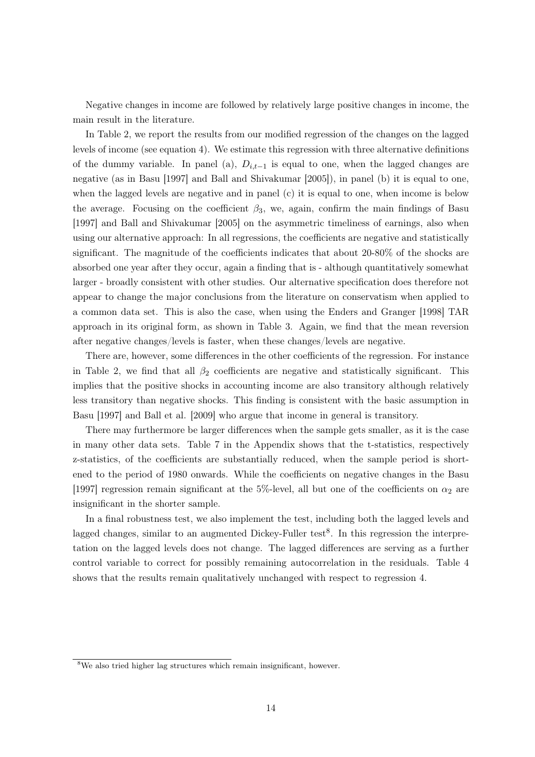Negative changes in income are followed by relatively large positive changes in income, the main result in the literature.

In Table 2, we report the results from our modified regression of the changes on the lagged levels of income (see equation 4). We estimate this regression with three alternative definitions of the dummy variable. In panel (a),  $D_{i,t-1}$  is equal to one, when the lagged changes are negative (as in Basu [1997] and Ball and Shivakumar [2005]), in panel (b) it is equal to one, when the lagged levels are negative and in panel (c) it is equal to one, when income is below the average. Focusing on the coefficient  $\beta_3$ , we, again, confirm the main findings of Basu [1997] and Ball and Shivakumar [2005] on the asymmetric timeliness of earnings, also when using our alternative approach: In all regressions, the coefficients are negative and statistically significant. The magnitude of the coefficients indicates that about 20-80% of the shocks are absorbed one year after they occur, again a finding that is - although quantitatively somewhat larger - broadly consistent with other studies. Our alternative specification does therefore not appear to change the major conclusions from the literature on conservatism when applied to a common data set. This is also the case, when using the Enders and Granger [1998] TAR approach in its original form, as shown in Table 3. Again, we find that the mean reversion after negative changes/levels is faster, when these changes/levels are negative.

There are, however, some differences in the other coefficients of the regression. For instance in Table 2, we find that all  $\beta_2$  coefficients are negative and statistically significant. This implies that the positive shocks in accounting income are also transitory although relatively less transitory than negative shocks. This finding is consistent with the basic assumption in Basu [1997] and Ball et al. [2009] who argue that income in general is transitory.

There may furthermore be larger differences when the sample gets smaller, as it is the case in many other data sets. Table 7 in the Appendix shows that the t-statistics, respectively z-statistics, of the coefficients are substantially reduced, when the sample period is shortened to the period of 1980 onwards. While the coefficients on negative changes in the Basu [1997] regression remain significant at the 5%-level, all but one of the coefficients on  $\alpha_2$  are insignificant in the shorter sample.

In a final robustness test, we also implement the test, including both the lagged levels and lagged changes, similar to an augmented Dickey-Fuller test<sup>8</sup>. In this regression the interpretation on the lagged levels does not change. The lagged differences are serving as a further control variable to correct for possibly remaining autocorrelation in the residuals. Table 4 shows that the results remain qualitatively unchanged with respect to regression 4.

<sup>8</sup>We also tried higher lag structures which remain insignificant, however.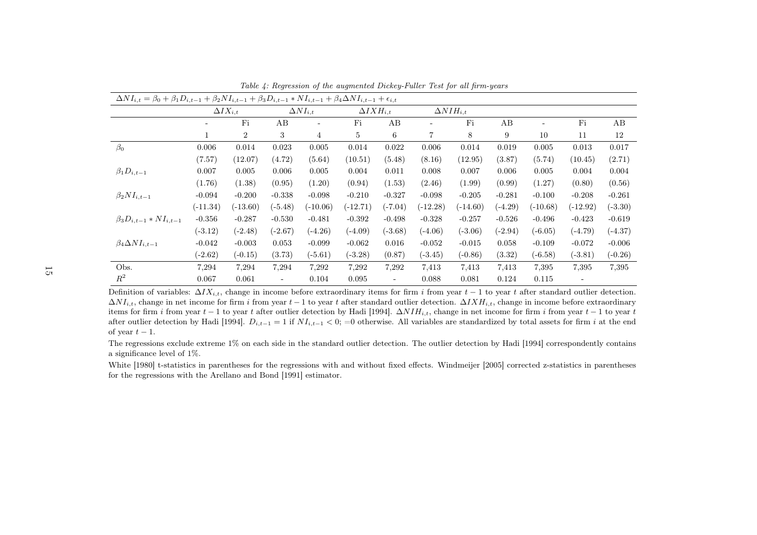| $\Delta NI_{i,t} = \beta_0 + \beta_1 D_{i,t-1} + \beta_2 NI_{i,t-1} + \beta_3 D_{i,t-1} * NI_{i,t-1} + \beta_4 \Delta NI_{i,t-1} + \epsilon_{i,t}$ |            |                   |                          |                          |                      |                          |            |                      |           |            |            |           |
|----------------------------------------------------------------------------------------------------------------------------------------------------|------------|-------------------|--------------------------|--------------------------|----------------------|--------------------------|------------|----------------------|-----------|------------|------------|-----------|
|                                                                                                                                                    |            | $\Delta IX_{i,t}$ |                          | $\Delta NI_{i,t}$        | $\Delta I X H_{i,t}$ |                          |            | $\Delta N I H_{i,t}$ |           |            |            |           |
|                                                                                                                                                    |            | Fi                | AB                       | $\overline{\phantom{a}}$ | Fi                   | AВ                       |            | Fi                   | AB        |            | Fi         | AВ        |
|                                                                                                                                                    | 1          | $\overline{2}$    | 3                        | $\overline{4}$           | 5                    | 6                        | 7          | 8                    | 9         | 10         | 11         | 12        |
| $\beta_0$                                                                                                                                          | 0.006      | 0.014             | 0.023                    | 0.005                    | 0.014                | 0.022                    | 0.006      | 0.014                | 0.019     | 0.005      | 0.013      | 0.017     |
|                                                                                                                                                    | (7.57)     | (12.07)           | (4.72)                   | (5.64)                   | (10.51)              | (5.48)                   | (8.16)     | (12.95)              | (3.87)    | (5.74)     | (10.45)    | (2.71)    |
| $\beta_1D_{i,t-1}$                                                                                                                                 | 0.007      | 0.005             | 0.006                    | 0.005                    | 0.004                | 0.011                    | 0.008      | 0.007                | 0.006     | 0.005      | 0.004      | 0.004     |
|                                                                                                                                                    | (1.76)     | (1.38)            | (0.95)                   | (1.20)                   | (0.94)               | (1.53)                   | (2.46)     | (1.99)               | (0.99)    | (1.27)     | (0.80)     | (0.56)    |
| $\beta_2 NI_{i,t-1}$                                                                                                                               | $-0.094$   | $-0.200$          | $-0.338$                 | $-0.098$                 | $-0.210$             | $-0.327$                 | $-0.098$   | $-0.205$             | $-0.281$  | $-0.100$   | $-0.208$   | $-0.261$  |
|                                                                                                                                                    | $(-11.34)$ | $(-13.60)$        | $(-5.48)$                | $(-10.06)$               | $(-12.71)$           | $(-7.04)$                | $(-12.28)$ | $(-14.60)$           | $(-4.29)$ | $(-10.68)$ | $(-12.92)$ | $(-3.30)$ |
| $\beta_3 D_{i,t-1} * NI_{i,t-1}$                                                                                                                   | $-0.356$   | $-0.287$          | $-0.530$                 | $-0.481$                 | $-0.392$             | $-0.498$                 | $-0.328$   | $-0.257$             | $-0.526$  | $-0.496$   | $-0.423$   | $-0.619$  |
|                                                                                                                                                    | $(-3.12)$  | $(-2.48)$         | $(-2.67)$                | $(-4.26)$                | $(-4.09)$            | $(-3.68)$                | $(-4.06)$  | $(-3.06)$            | $(-2.94)$ | $(-6.05)$  | $(-4.79)$  | $(-4.37)$ |
| $\beta_4 \Delta NI_{i,t-1}$                                                                                                                        | $-0.042$   | $-0.003$          | 0.053                    | $-0.099$                 | $-0.062$             | 0.016                    | $-0.052$   | $-0.015$             | 0.058     | $-0.109$   | $-0.072$   | $-0.006$  |
|                                                                                                                                                    | $(-2.62)$  | $(-0.15)$         | (3.73)                   | $(-5.61)$                | $(-3.28)$            | (0.87)                   | $(-3.45)$  | $(-0.86)$            | (3.32)    | $(-6.58)$  | $(-3.81)$  | $(-0.26)$ |
| Obs.                                                                                                                                               | 7,294      | 7,294             | 7,294                    | 7,292                    | 7,292                | 7,292                    | 7,413      | 7,413                | 7.413     | 7,395      | 7,395      | 7,395     |
| $R^2$                                                                                                                                              | 0.067      | 0.061             | $\overline{\phantom{a}}$ | 0.104                    | 0.095                | $\overline{\phantom{a}}$ | 0.088      | 0.081                | 0.124     | 0.115      |            |           |

Table 4: Regression of the augmented Dickey-Fuller Test for all firm-years

Definition of variables:  $\Delta I X_{i,t}$ , change in income before extraordinary items for firm i from year  $t-1$  to year t after standard outlier detection.  $\Delta NI_{i,t}$ , change in net income for firm i from year  $t-1$  to year t after standard outlier detection.  $\Delta I X H_{i,t}$ , change in income before extraordinary items for firm i from year  $t - 1$  to year t after outlier detection by Hadi [1994].  $\Delta N I H_{i,t}$ , change in net income for firm i from year  $t - 1$  to year t after outlier detection by Hadi [1994].  $D_{i,t-1} = 1$  if  $NI_{i,t-1} < 0$ ; =0 otherwise. All variables are standardized by total assets for firm i at the end of year  $t-1$ .

The regressions exclude extreme 1% on each side in the standard outlier detection. The outlier detection by Hadi [1994] correspondently contains<sup>a</sup> significance level of 1%.

White [1980] t-statistics in parentheses for the regressions with and without fixed effects. Windmeijer [2005] corrected z-statistics in parentheses for the regressions with the Arellano and Bond [1991] estimator.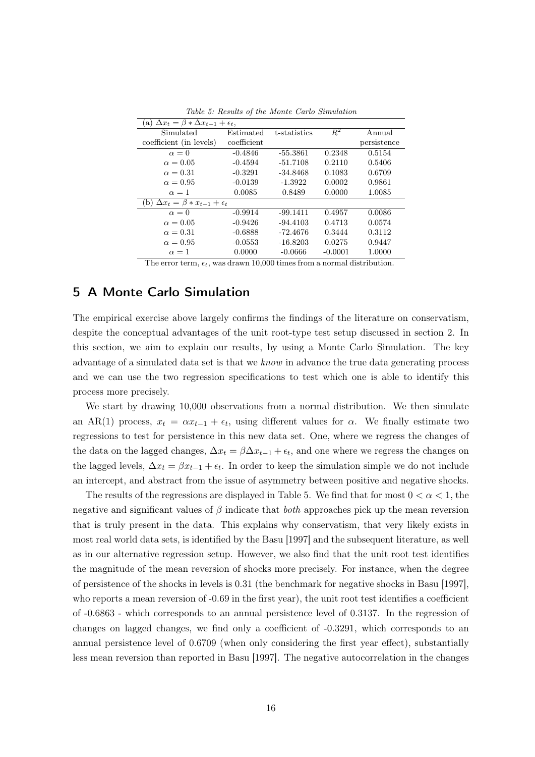| (a) $\Delta x_t = \beta * \Delta x_{t-1} + \epsilon_t$ , |             |              |           |             |
|----------------------------------------------------------|-------------|--------------|-----------|-------------|
| Simulated                                                | Estimated   | t-statistics | $R^2$     | Annual      |
| coefficient (in levels)                                  | coefficient |              |           | persistence |
| $\alpha = 0$                                             | $-0.4846$   | $-55.3861$   | 0.2348    | 0.5154      |
| $\alpha = 0.05$                                          | $-0.4594$   | $-51.7108$   | 0.2110    | 0.5406      |
| $\alpha = 0.31$                                          | $-0.3291$   | $-34.8468$   | 0.1083    | 0.6709      |
| $\alpha = 0.95$                                          | $-0.0139$   | $-1.3922$    | 0.0002    | 0.9861      |
| $\alpha = 1$                                             | 0.0085      | 0.8489       | 0.0000    | 1.0085      |
| $\Delta x_t = \beta * x_{t-1} + \epsilon_t$<br>b I       |             |              |           |             |
| $\alpha = 0$                                             | $-0.9914$   | $-99.1411$   | 0.4957    | 0.0086      |
| $\alpha = 0.05$                                          | $-0.9426$   | $-94.4103$   | 0.4713    | 0.0574      |
| $\alpha = 0.31$                                          | $-0.6888$   | -72.4676     | 0.3444    | 0.3112      |
| $\alpha = 0.95$                                          | $-0.0553$   | $-16.8203$   | 0.0275    | 0.9447      |
| $\alpha=1$                                               | 0.0000      | $-0.0666$    | $-0.0001$ | 1.0000      |

Table 5: Results of the Monte Carlo Simulation

The error term,  $\epsilon_t$ , was drawn 10,000 times from a normal distribution.

## 5 A Monte Carlo Simulation

The empirical exercise above largely confirms the findings of the literature on conservatism, despite the conceptual advantages of the unit root-type test setup discussed in section 2. In this section, we aim to explain our results, by using a Monte Carlo Simulation. The key advantage of a simulated data set is that we know in advance the true data generating process and we can use the two regression specifications to test which one is able to identify this process more precisely.

We start by drawing 10,000 observations from a normal distribution. We then simulate an AR(1) process,  $x_t = \alpha x_{t-1} + \epsilon_t$ , using different values for  $\alpha$ . We finally estimate two regressions to test for persistence in this new data set. One, where we regress the changes of the data on the lagged changes,  $\Delta x_t = \beta \Delta x_{t-1} + \epsilon_t$ , and one where we regress the changes on the lagged levels,  $\Delta x_t = \beta x_{t-1} + \epsilon_t$ . In order to keep the simulation simple we do not include an intercept, and abstract from the issue of asymmetry between positive and negative shocks.

The results of the regressions are displayed in Table 5. We find that for most  $0 < \alpha < 1$ , the negative and significant values of  $\beta$  indicate that *both* approaches pick up the mean reversion that is truly present in the data. This explains why conservatism, that very likely exists in most real world data sets, is identified by the Basu [1997] and the subsequent literature, as well as in our alternative regression setup. However, we also find that the unit root test identifies the magnitude of the mean reversion of shocks more precisely. For instance, when the degree of persistence of the shocks in levels is 0.31 (the benchmark for negative shocks in Basu [1997], who reports a mean reversion of -0.69 in the first year), the unit root test identifies a coefficient of -0.6863 - which corresponds to an annual persistence level of 0.3137. In the regression of changes on lagged changes, we find only a coefficient of -0.3291, which corresponds to an annual persistence level of 0.6709 (when only considering the first year effect), substantially less mean reversion than reported in Basu [1997]. The negative autocorrelation in the changes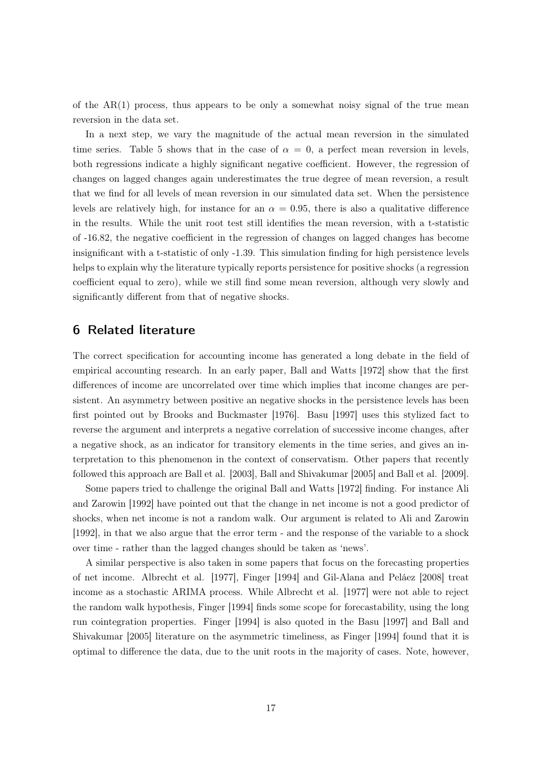of the  $AR(1)$  process, thus appears to be only a somewhat noisy signal of the true mean reversion in the data set.

In a next step, we vary the magnitude of the actual mean reversion in the simulated time series. Table 5 shows that in the case of  $\alpha = 0$ , a perfect mean reversion in levels, both regressions indicate a highly significant negative coefficient. However, the regression of changes on lagged changes again underestimates the true degree of mean reversion, a result that we find for all levels of mean reversion in our simulated data set. When the persistence levels are relatively high, for instance for an  $\alpha = 0.95$ , there is also a qualitative difference in the results. While the unit root test still identifies the mean reversion, with a t-statistic of -16.82, the negative coefficient in the regression of changes on lagged changes has become insignificant with a t-statistic of only -1.39. This simulation finding for high persistence levels helps to explain why the literature typically reports persistence for positive shocks (a regression coefficient equal to zero), while we still find some mean reversion, although very slowly and significantly different from that of negative shocks.

## 6 Related literature

The correct specification for accounting income has generated a long debate in the field of empirical accounting research. In an early paper, Ball and Watts [1972] show that the first differences of income are uncorrelated over time which implies that income changes are persistent. An asymmetry between positive an negative shocks in the persistence levels has been first pointed out by Brooks and Buckmaster [1976]. Basu [1997] uses this stylized fact to reverse the argument and interprets a negative correlation of successive income changes, after a negative shock, as an indicator for transitory elements in the time series, and gives an interpretation to this phenomenon in the context of conservatism. Other papers that recently followed this approach are Ball et al. [2003], Ball and Shivakumar [2005] and Ball et al. [2009].

Some papers tried to challenge the original Ball and Watts [1972] finding. For instance Ali and Zarowin [1992] have pointed out that the change in net income is not a good predictor of shocks, when net income is not a random walk. Our argument is related to Ali and Zarowin [1992], in that we also argue that the error term - and the response of the variable to a shock over time - rather than the lagged changes should be taken as 'news'.

A similar perspective is also taken in some papers that focus on the forecasting properties of net income. Albrecht et al. [1977], Finger [1994] and Gil-Alana and Peláez [2008] treat income as a stochastic ARIMA process. While Albrecht et al. [1977] were not able to reject the random walk hypothesis, Finger [1994] finds some scope for forecastability, using the long run cointegration properties. Finger [1994] is also quoted in the Basu [1997] and Ball and Shivakumar [2005] literature on the asymmetric timeliness, as Finger [1994] found that it is optimal to difference the data, due to the unit roots in the majority of cases. Note, however,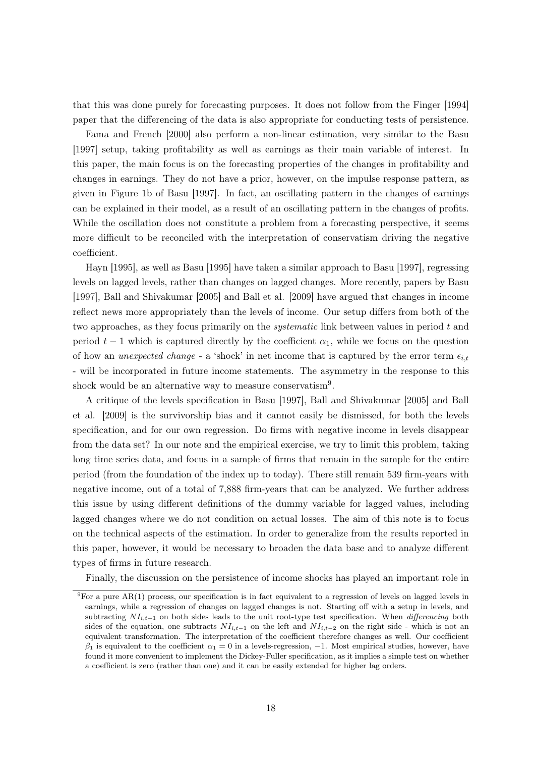that this was done purely for forecasting purposes. It does not follow from the Finger [1994] paper that the differencing of the data is also appropriate for conducting tests of persistence.

Fama and French [2000] also perform a non-linear estimation, very similar to the Basu [1997] setup, taking profitability as well as earnings as their main variable of interest. In this paper, the main focus is on the forecasting properties of the changes in profitability and changes in earnings. They do not have a prior, however, on the impulse response pattern, as given in Figure 1b of Basu [1997]. In fact, an oscillating pattern in the changes of earnings can be explained in their model, as a result of an oscillating pattern in the changes of profits. While the oscillation does not constitute a problem from a forecasting perspective, it seems more difficult to be reconciled with the interpretation of conservatism driving the negative coefficient.

Hayn [1995], as well as Basu [1995] have taken a similar approach to Basu [1997], regressing levels on lagged levels, rather than changes on lagged changes. More recently, papers by Basu [1997], Ball and Shivakumar [2005] and Ball et al. [2009] have argued that changes in income reflect news more appropriately than the levels of income. Our setup differs from both of the two approaches, as they focus primarily on the systematic link between values in period t and period  $t-1$  which is captured directly by the coefficient  $\alpha_1$ , while we focus on the question of how an *unexpected change* - a 'shock' in net income that is captured by the error term  $\epsilon_{i,t}$ - will be incorporated in future income statements. The asymmetry in the response to this shock would be an alternative way to measure conservatism<sup>9</sup>.

A critique of the levels specification in Basu [1997], Ball and Shivakumar [2005] and Ball et al. [2009] is the survivorship bias and it cannot easily be dismissed, for both the levels specification, and for our own regression. Do firms with negative income in levels disappear from the data set? In our note and the empirical exercise, we try to limit this problem, taking long time series data, and focus in a sample of firms that remain in the sample for the entire period (from the foundation of the index up to today). There still remain 539 firm-years with negative income, out of a total of 7,888 firm-years that can be analyzed. We further address this issue by using different definitions of the dummy variable for lagged values, including lagged changes where we do not condition on actual losses. The aim of this note is to focus on the technical aspects of the estimation. In order to generalize from the results reported in this paper, however, it would be necessary to broaden the data base and to analyze different types of firms in future research.

Finally, the discussion on the persistence of income shocks has played an important role in

 ${}^{9}$ For a pure AR(1) process, our specification is in fact equivalent to a regression of levels on lagged levels in earnings, while a regression of changes on lagged changes is not. Starting off with a setup in levels, and subtracting  $NI_{i,t-1}$  on both sides leads to the unit root-type test specification. When *differencing* both sides of the equation, one subtracts  $NI_{i,t-1}$  on the left and  $NI_{i,t-2}$  on the right side - which is not an equivalent transformation. The interpretation of the coefficient therefore changes as well. Our coefficient  $\beta_1$  is equivalent to the coefficient  $\alpha_1 = 0$  in a levels-regression,  $-1$ . Most empirical studies, however, have found it more convenient to implement the Dickey-Fuller specification, as it implies a simple test on whether a coefficient is zero (rather than one) and it can be easily extended for higher lag orders.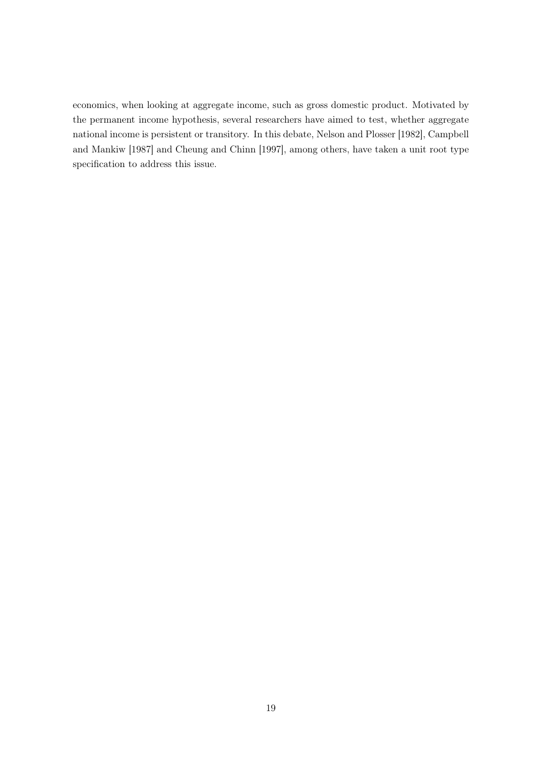economics, when looking at aggregate income, such as gross domestic product. Motivated by the permanent income hypothesis, several researchers have aimed to test, whether aggregate national income is persistent or transitory. In this debate, Nelson and Plosser [1982], Campbell and Mankiw [1987] and Cheung and Chinn [1997], among others, have taken a unit root type specification to address this issue.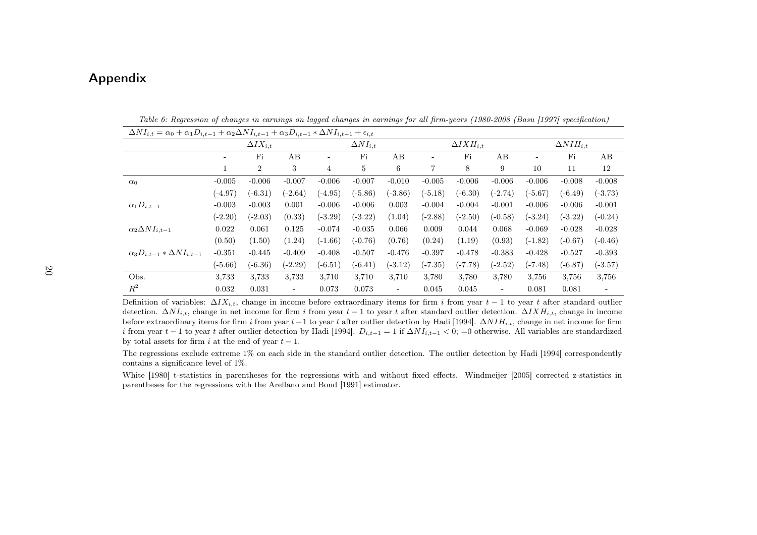## Appendix

| $\Delta NI_{i,t} = \alpha_0 + \alpha_1 D_{i,t-1} + \alpha_2 \Delta NI_{i,t-1} + \alpha_3 D_{i,t-1} * \Delta NI_{i,t-1} + \epsilon_{i,t}$ |           |                   |           |           |                   |                          |                          |                      |                          |                          |                      |                          |  |
|------------------------------------------------------------------------------------------------------------------------------------------|-----------|-------------------|-----------|-----------|-------------------|--------------------------|--------------------------|----------------------|--------------------------|--------------------------|----------------------|--------------------------|--|
|                                                                                                                                          |           | $\Delta IX_{i,t}$ |           |           | $\Delta NI_{i,t}$ |                          |                          | $\Delta I X H_{i.t}$ |                          |                          | $\Delta N I H_{i,t}$ |                          |  |
|                                                                                                                                          | ۰         | Fi                | AB        |           | Fi                | AB                       | $\overline{\phantom{a}}$ | Fi                   | AB                       | $\overline{\phantom{0}}$ | Fi                   | AB                       |  |
|                                                                                                                                          | 1         | $\overline{2}$    | 3         | 4         | 5                 | 6                        | 7                        | 8                    | 9                        | 10                       | 11                   | 12                       |  |
| $\alpha_0$                                                                                                                               | $-0.005$  | $-0.006$          | $-0.007$  | $-0.006$  | $-0.007$          | $-0.010$                 | $-0.005$                 | $-0.006$             | $-0.006$                 | $-0.006$                 | $-0.008$             | $-0.008$                 |  |
|                                                                                                                                          | $(-4.97)$ | $(-6.31)$         | $(-2.64)$ | $(-4.95)$ | $(-5.86)$         | $(-3.86)$                | $(-5.18)$                | $(-6.30)$            | $(-2.74)$                | $(-5.67)$                | $(-6.49)$            | $(-3.73)$                |  |
| $\alpha_1 D_{i,t-1}$                                                                                                                     | $-0.003$  | $-0.003$          | 0.001     | $-0.006$  | $-0.006$          | 0.003                    | $-0.004$                 | $-0.004$             | $-0.001$                 | $-0.006$                 | $-0.006$             | $-0.001$                 |  |
|                                                                                                                                          | $(-2.20)$ | $(-2.03)$         | (0.33)    | $(-3.29)$ | $(-3.22)$         | (1.04)                   | $(-2.88)$                | $(-2.50)$            | $(-0.58)$                | $(-3.24)$                | $(-3.22)$            | $(-0.24)$                |  |
| $\alpha_2 \Delta NI_{i.t-1}$                                                                                                             | 0.022     | 0.061             | 0.125     | $-0.074$  | $-0.035$          | 0.066                    | 0.009                    | 0.044                | 0.068                    | $-0.069$                 | $-0.028$             | $-0.028$                 |  |
|                                                                                                                                          | (0.50)    | (1.50)            | (1.24)    | $(-1.66)$ | $(-0.76)$         | (0.76)                   | (0.24)                   | (1.19)               | (0.93)                   | $(-1.82)$                | $(-0.67)$            | $(-0.46)$                |  |
| $\alpha_3D_{i,t-1}*\Delta NI_{i,t-1}$                                                                                                    | $-0.351$  | $-0.445$          | $-0.409$  | $-0.408$  | $-0.507$          | $-0.476$                 | $-0.397$                 | $-0.478$             | $-0.383$                 | $-0.428$                 | $-0.527$             | $-0.393$                 |  |
|                                                                                                                                          | $(-5.66)$ | $(-6.36)$         | $(-2.29)$ | $(-6.51)$ | $(-6.41)$         | $(-3.12)$                | $(-7.35)$                | $(-7.78)$            | $(-2.52)$                | $(-7.48)$                | $(-6.87)$            | $(-3.57)$                |  |
| Obs.                                                                                                                                     | 3,733     | 3,733             | 3.733     | 3,710     | 3,710             | 3,710                    | 3,780                    | 3,780                | 3,780                    | 3,756                    | 3,756                | 3,756                    |  |
| $R^2$                                                                                                                                    | 0.032     | 0.031             | $\sim$    | 0.073     | 0.073             | $\overline{\phantom{a}}$ | 0.045                    | 0.045                | $\overline{\phantom{a}}$ | 0.081                    | 0.081                | $\overline{\phantom{a}}$ |  |

Table 6: Regression of changes in earnings on lagged changes in earnings for all firm-years (1980-2008 (Basu [1997] specification)

Definition of variables:  $\Delta I X_{i,t}$ , change in income before extraordinary items for firm i from year  $t-1$  to year t after standard outlier detection.  $\Delta N I_{i,t}$ , change in net income for firm i from year  $t-1$  to year t after standard outlier detection.  $\Delta I X H_{i,t}$ , change in income before extraordinary items for firm i from year  $t-1$  to year t after outlier detection by Hadi [1994].  $\Delta NIH_{i,t}$ , change in net income for firm i from year t − 1 to year t after outlier detection by Hadi [1994].  $D_{i,t-1} = 1$  if  $\Delta NI_{i,t-1} < 0$ ; =0 otherwise. All variables are standardized by total assets for firm i at the end of year  $t - 1$ .

The regressions exclude extreme 1% on each side in the standard outlier detection. The outlier detection by Hadi [1994] correspondently contains <sup>a</sup> significance level of 1%.

White [1980] t-statistics in parentheses for the regressions with and without fixed effects. Windmeijer [2005] corrected z-statistics in parentheses for the regressions with the Arellano and Bond [1991] estimator.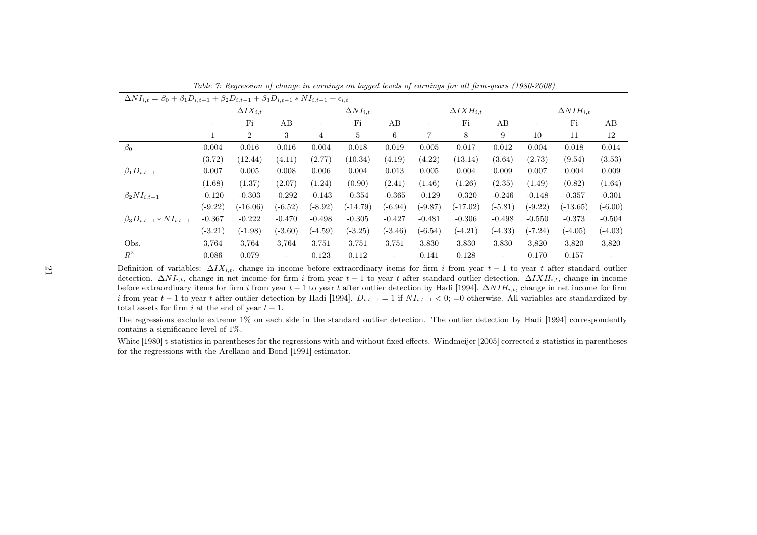| $\Delta NI_{i,t} = \beta_0 + \beta_1 D_{i,t-1} + \beta_2 D_{i,t-1} + \beta_3 D_{i,t-1} * NI_{i,t-1} + \epsilon_{i,t}$ |                                         |                |                          |           |            |                          |           |                      |           |                      |            |                          |  |
|-----------------------------------------------------------------------------------------------------------------------|-----------------------------------------|----------------|--------------------------|-----------|------------|--------------------------|-----------|----------------------|-----------|----------------------|------------|--------------------------|--|
|                                                                                                                       | $\Delta NI_{i,t}$<br>$\Delta I X_{i,t}$ |                |                          |           |            |                          |           | $\Delta I X H_{i,t}$ |           | $\Delta N I H_{i,t}$ |            |                          |  |
|                                                                                                                       |                                         | Fi             | AB                       |           | Fi         | AB                       |           | Fi                   | AВ        |                      | Fi         | AB                       |  |
|                                                                                                                       |                                         | $\overline{2}$ | 3                        | 4         | 5          | 6                        | 7         | 8                    | 9         | 10                   | 11         | 12                       |  |
| $\beta_0$                                                                                                             | 0.004                                   | 0.016          | 0.016                    | 0.004     | 0.018      | 0.019                    | 0.005     | 0.017                | 0.012     | 0.004                | 0.018      | 0.014                    |  |
|                                                                                                                       | (3.72)                                  | (12.44)        | (4.11)                   | (2.77)    | (10.34)    | (4.19)                   | (4.22)    | (13.14)              | (3.64)    | (2.73)               | (9.54)     | (3.53)                   |  |
| $\beta_1D_{i,t-1}$                                                                                                    | 0.007                                   | 0.005          | 0.008                    | 0.006     | 0.004      | 0.013                    | 0.005     | 0.004                | 0.009     | 0.007                | 0.004      | 0.009                    |  |
|                                                                                                                       | (1.68)                                  | (1.37)         | (2.07)                   | (1.24)    | (0.90)     | (2.41)                   | (1.46)    | (1.26)               | (2.35)    | (1.49)               | (0.82)     | (1.64)                   |  |
| $\beta_2 NI_{i,t-1}$                                                                                                  | $-0.120$                                | $-0.303$       | $-0.292$                 | $-0.143$  | $-0.354$   | $-0.365$                 | $-0.129$  | $-0.320$             | $-0.246$  | $-0.148$             | $-0.357$   | $-0.301$                 |  |
|                                                                                                                       | $(-9.22)$                               | $(-16.06)$     | $(-6.52)$                | $(-8.92)$ | $(-14.79)$ | $(-6.94)$                | $(-9.87)$ | $(-17.02)$           | $(-5.81)$ | $(-9.22)$            | $(-13.65)$ | $(-6.00)$                |  |
| $\beta_3 D_{i,t-1} * NI_{i,t-1}$                                                                                      | $-0.367$                                | $-0.222$       | $-0.470$                 | $-0.498$  | $-0.305$   | $-0.427$                 | $-0.481$  | $-0.306$             | $-0.498$  | $-0.550$             | $-0.373$   | $-0.504$                 |  |
|                                                                                                                       | $(-3.21)$                               | $(-1.98)$      | $(-3.60)$                | $(-4.59)$ | $(-3.25)$  | $(-3.46)$                | $(-6.54)$ | $(-4.21)$            | $(-4.33)$ | $(-7.24)$            | $(-4.05)$  | $(-4.03)$                |  |
| Obs.                                                                                                                  | 3,764                                   | 3,764          | 3,764                    | 3,751     | 3,751      | 3,751                    | 3,830     | 3,830                | 3,830     | 3,820                | 3,820      | 3,820                    |  |
| $R^2$                                                                                                                 | 0.086                                   | 0.079          | $\overline{\phantom{0}}$ | 0.123     | 0.112      | $\overline{\phantom{a}}$ | 0.141     | 0.128                | $\sim$    | 0.170                | 0.157      | $\overline{\phantom{a}}$ |  |

Table 7: Regression of change in earnings on lagged levels of earnings for all firm-years (1980-2008)

Definition of variables:  $\Delta I X_{i,t}$ , change in income before extraordinary items for firm i from year  $t - 1$  to year t after standard outlier detection.  $\Delta N I_{i,t}$ , change in net income for firm i from year  $t - 1$  to year t after standard outlier detection.  $\Delta I X H_{i,t}$ , change in income before extraordinary items for firm i from year  $t - 1$  to year t after outlier detection by Hadi [1994].  $\Delta N IH_{i,t}$ , change in net income for firm i from year  $t-1$  to year t after outlier detection by Hadi [1994].  $D_{i,t-1} = 1$  if  $NI_{i,t-1} < 0$ ; =0 otherwise. All variables are standardized by total assets for firm i at the end of year  $t - 1$ .

The regressions exclude extreme 1% on each side in the standard outlier detection. The outlier detection by Hadi [1994] correspondentlycontains <sup>a</sup> significance level of 1%.

White [1980] t-statistics in parentheses for the regressions with and without fixed effects. Windmeijer [2005] corrected z-statistics in parenthesesfor the regressions with the Arellano and Bond [1991] estimator.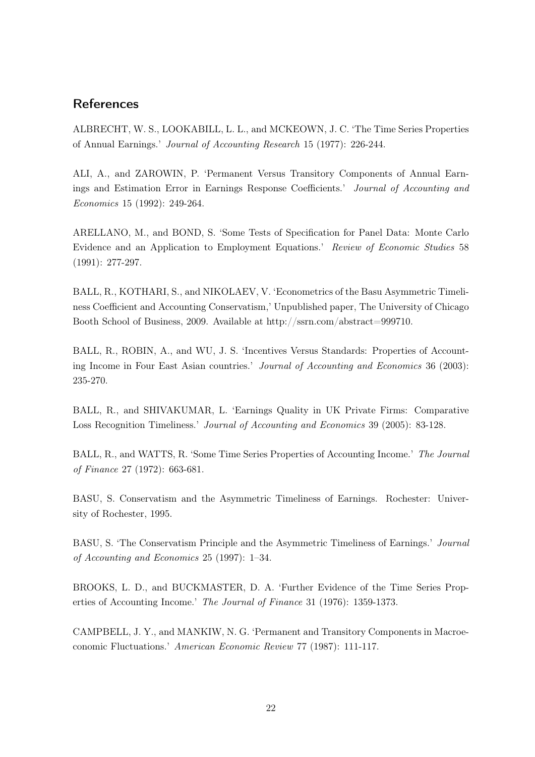### References

ALBRECHT, W. S., LOOKABILL, L. L., and MCKEOWN, J. C. 'The Time Series Properties of Annual Earnings.' Journal of Accounting Research 15 (1977): 226-244.

ALI, A., and ZAROWIN, P. 'Permanent Versus Transitory Components of Annual Earnings and Estimation Error in Earnings Response Coefficients.' Journal of Accounting and Economics 15 (1992): 249-264.

ARELLANO, M., and BOND, S. 'Some Tests of Specification for Panel Data: Monte Carlo Evidence and an Application to Employment Equations.' Review of Economic Studies 58 (1991): 277-297.

BALL, R., KOTHARI, S., and NIKOLAEV, V. 'Econometrics of the Basu Asymmetric Timeliness Coefficient and Accounting Conservatism,' Unpublished paper, The University of Chicago Booth School of Business, 2009. Available at http://ssrn.com/abstract=999710.

BALL, R., ROBIN, A., and WU, J. S. 'Incentives Versus Standards: Properties of Accounting Income in Four East Asian countries.' Journal of Accounting and Economics 36 (2003): 235-270.

BALL, R., and SHIVAKUMAR, L. 'Earnings Quality in UK Private Firms: Comparative Loss Recognition Timeliness.' Journal of Accounting and Economics 39 (2005): 83-128.

BALL, R., and WATTS, R. 'Some Time Series Properties of Accounting Income.' The Journal of Finance 27 (1972): 663-681.

BASU, S. Conservatism and the Asymmetric Timeliness of Earnings. Rochester: University of Rochester, 1995.

BASU, S. 'The Conservatism Principle and the Asymmetric Timeliness of Earnings.' Journal of Accounting and Economics 25 (1997): 1–34.

BROOKS, L. D., and BUCKMASTER, D. A. 'Further Evidence of the Time Series Properties of Accounting Income.' The Journal of Finance 31 (1976): 1359-1373.

CAMPBELL, J. Y., and MANKIW, N. G. 'Permanent and Transitory Components in Macroeconomic Fluctuations.' American Economic Review 77 (1987): 111-117.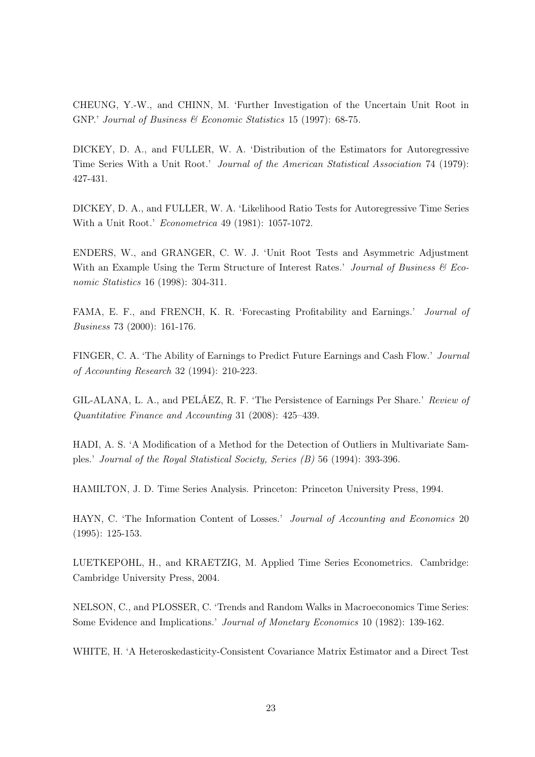CHEUNG, Y.-W., and CHINN, M. 'Further Investigation of the Uncertain Unit Root in GNP.' Journal of Business & Economic Statistics 15 (1997): 68-75.

DICKEY, D. A., and FULLER, W. A. 'Distribution of the Estimators for Autoregressive Time Series With a Unit Root.' Journal of the American Statistical Association 74 (1979): 427-431.

DICKEY, D. A., and FULLER, W. A. 'Likelihood Ratio Tests for Autoregressive Time Series With a Unit Root.' Econometrica 49 (1981): 1057-1072.

ENDERS, W., and GRANGER, C. W. J. 'Unit Root Tests and Asymmetric Adjustment With an Example Using the Term Structure of Interest Rates.' Journal of Business  $\mathcal C$  Economic Statistics 16 (1998): 304-311.

FAMA, E. F., and FRENCH, K. R. 'Forecasting Profitability and Earnings.' Journal of Business 73 (2000): 161-176.

FINGER, C. A. 'The Ability of Earnings to Predict Future Earnings and Cash Flow.' Journal of Accounting Research 32 (1994): 210-223.

GIL-ALANA, L. A., and PELÁEZ, R. F. 'The Persistence of Earnings Per Share.' Review of Quantitative Finance and Accounting 31 (2008): 425–439.

HADI, A. S. 'A Modification of a Method for the Detection of Outliers in Multivariate Samples.' Journal of the Royal Statistical Society, Series (B) 56 (1994): 393-396.

HAMILTON, J. D. Time Series Analysis. Princeton: Princeton University Press, 1994.

HAYN, C. 'The Information Content of Losses.' Journal of Accounting and Economics 20 (1995): 125-153.

LUETKEPOHL, H., and KRAETZIG, M. Applied Time Series Econometrics. Cambridge: Cambridge University Press, 2004.

NELSON, C., and PLOSSER, C. 'Trends and Random Walks in Macroeconomics Time Series: Some Evidence and Implications.' Journal of Monetary Economics 10 (1982): 139-162.

WHITE, H. 'A Heteroskedasticity-Consistent Covariance Matrix Estimator and a Direct Test